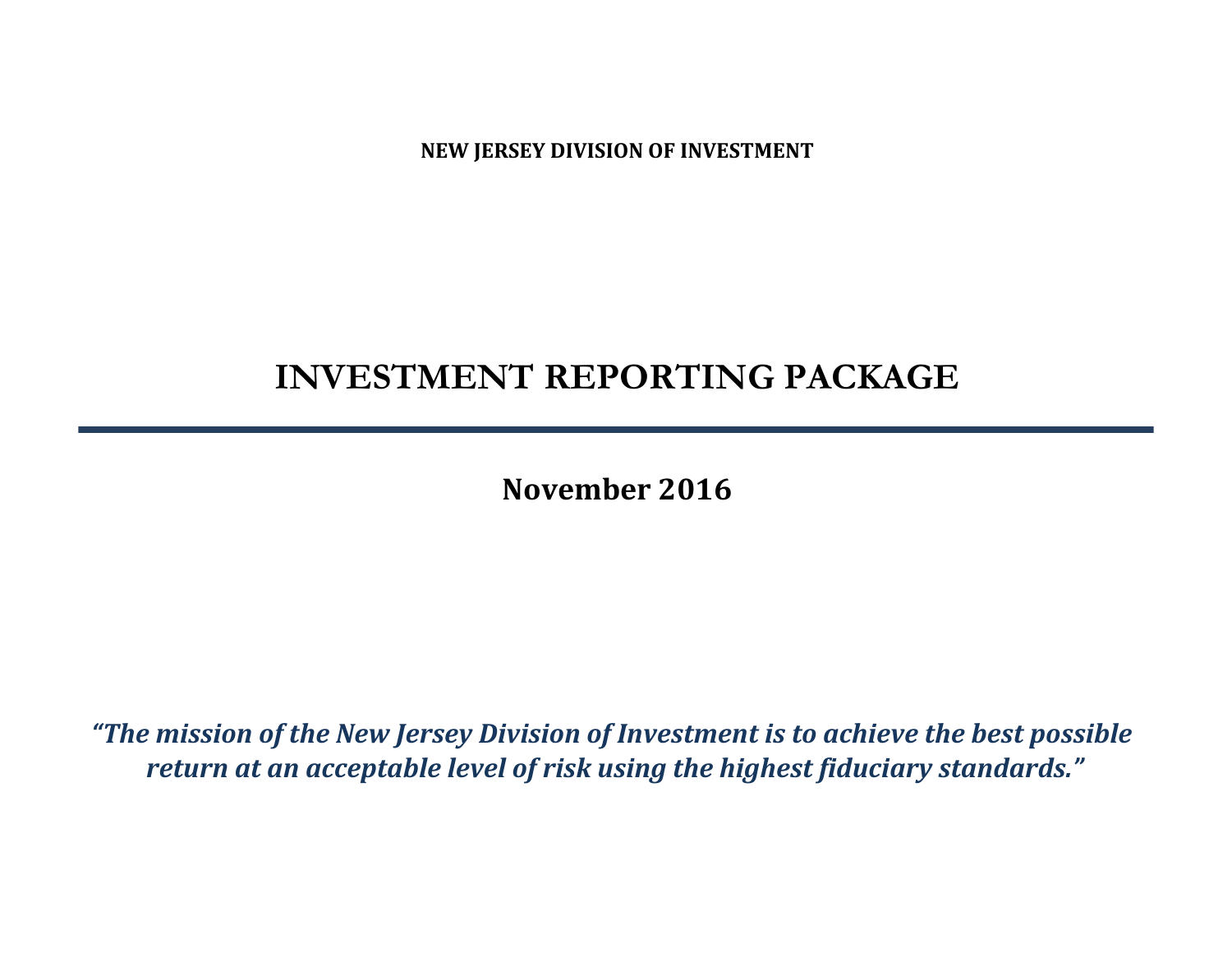**NEW JERSEY DIVISION OF INVESTMENT**

# **INVESTMENT REPORTING PACKAGE**

**November 2016**

*"The mission of the New Jersey Division of Investment is to achieve the best possible return at an acceptable level of risk using the highest fiduciary standards."*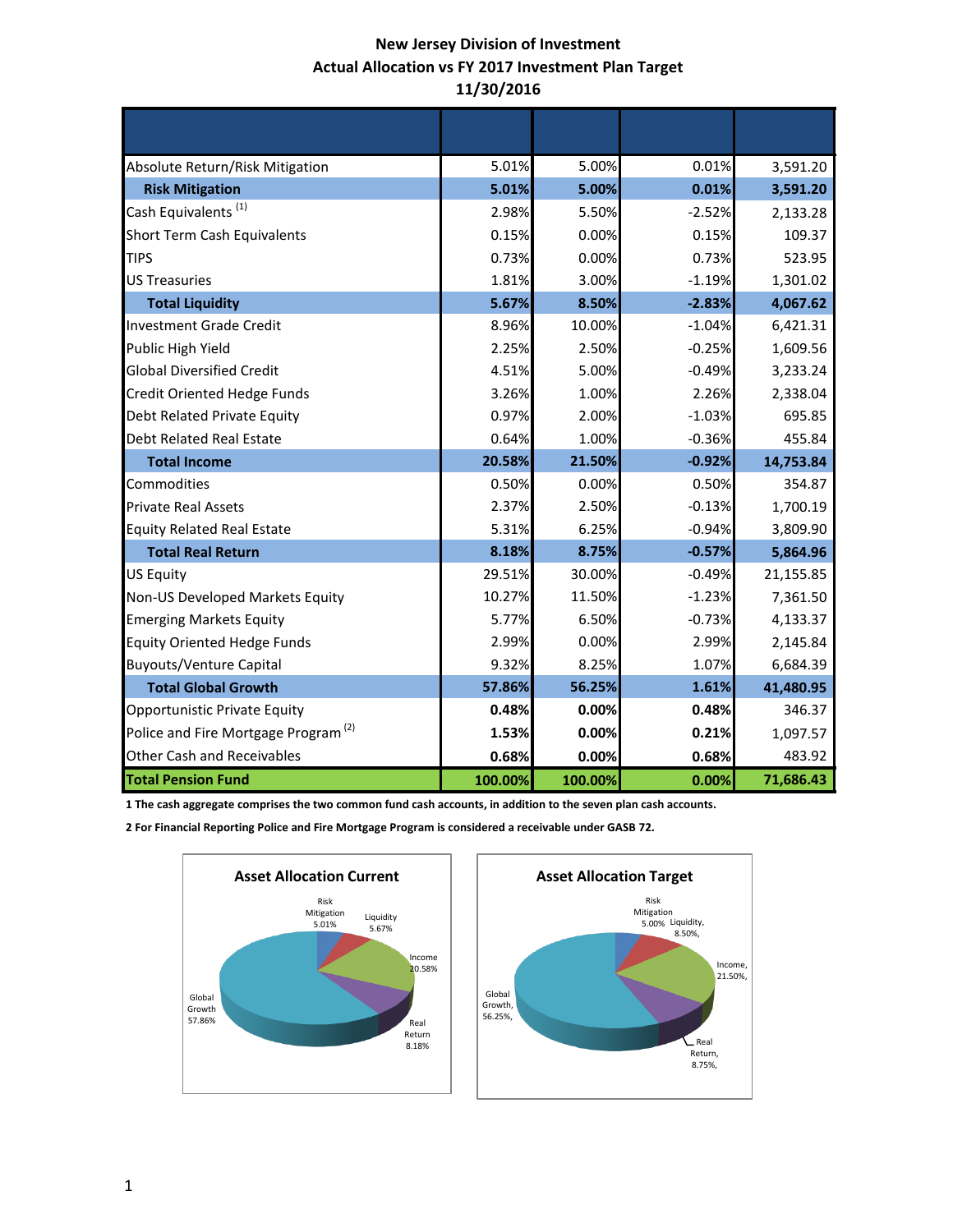# **New Jersey Division of Investment Actual Allocation vs FY 2017 Investment Plan Target 11/30/2016**

| Absolute Return/Risk Mitigation                 | 5.01%   | 5.00%   | 0.01%    | 3,591.20  |
|-------------------------------------------------|---------|---------|----------|-----------|
| <b>Risk Mitigation</b>                          | 5.01%   | 5.00%   | 0.01%    | 3,591.20  |
| Cash Equivalents <sup>(1)</sup>                 | 2.98%   | 5.50%   | $-2.52%$ | 2,133.28  |
| <b>Short Term Cash Equivalents</b>              | 0.15%   | 0.00%   | 0.15%    | 109.37    |
| <b>TIPS</b>                                     | 0.73%   | 0.00%   | 0.73%    | 523.95    |
| <b>US Treasuries</b>                            | 1.81%   | 3.00%   | $-1.19%$ | 1,301.02  |
| <b>Total Liquidity</b>                          | 5.67%   | 8.50%   | $-2.83%$ | 4,067.62  |
| <b>Investment Grade Credit</b>                  | 8.96%   | 10.00%  | $-1.04%$ | 6,421.31  |
| Public High Yield                               | 2.25%   | 2.50%   | $-0.25%$ | 1,609.56  |
| <b>Global Diversified Credit</b>                | 4.51%   | 5.00%   | $-0.49%$ | 3,233.24  |
| <b>Credit Oriented Hedge Funds</b>              | 3.26%   | 1.00%   | 2.26%    | 2,338.04  |
| Debt Related Private Equity                     | 0.97%   | 2.00%   | $-1.03%$ | 695.85    |
| <b>Debt Related Real Estate</b>                 | 0.64%   | 1.00%   | $-0.36%$ | 455.84    |
| <b>Total Income</b>                             | 20.58%  | 21.50%  | $-0.92%$ | 14,753.84 |
| Commodities                                     | 0.50%   | 0.00%   | 0.50%    | 354.87    |
| <b>Private Real Assets</b>                      | 2.37%   | 2.50%   | $-0.13%$ | 1,700.19  |
| <b>Equity Related Real Estate</b>               | 5.31%   | 6.25%   | $-0.94%$ | 3,809.90  |
| <b>Total Real Return</b>                        | 8.18%   | 8.75%   | $-0.57%$ | 5,864.96  |
| <b>US Equity</b>                                | 29.51%  | 30.00%  | $-0.49%$ | 21,155.85 |
| Non-US Developed Markets Equity                 | 10.27%  | 11.50%  | $-1.23%$ | 7,361.50  |
| <b>Emerging Markets Equity</b>                  | 5.77%   | 6.50%   | $-0.73%$ | 4,133.37  |
| <b>Equity Oriented Hedge Funds</b>              | 2.99%   | 0.00%   | 2.99%    | 2,145.84  |
| <b>Buyouts/Venture Capital</b>                  | 9.32%   | 8.25%   | 1.07%    | 6,684.39  |
| <b>Total Global Growth</b>                      | 57.86%  | 56.25%  | 1.61%    | 41,480.95 |
| Opportunistic Private Equity                    | 0.48%   | 0.00%   | 0.48%    | 346.37    |
| Police and Fire Mortgage Program <sup>(2)</sup> | 1.53%   | 0.00%   | 0.21%    | 1,097.57  |
| Other Cash and Receivables                      | 0.68%   | 0.00%   | 0.68%    | 483.92    |
| <b>Total Pension Fund</b>                       | 100.00% | 100.00% | 0.00%    | 71,686.43 |

**1 The cash aggregate comprises the two common fund cash accounts, in addition to the seven plan cash accounts.** 

**2 For Financial Reporting Police and Fire Mortgage Program is considered a receivable under GASB 72.**



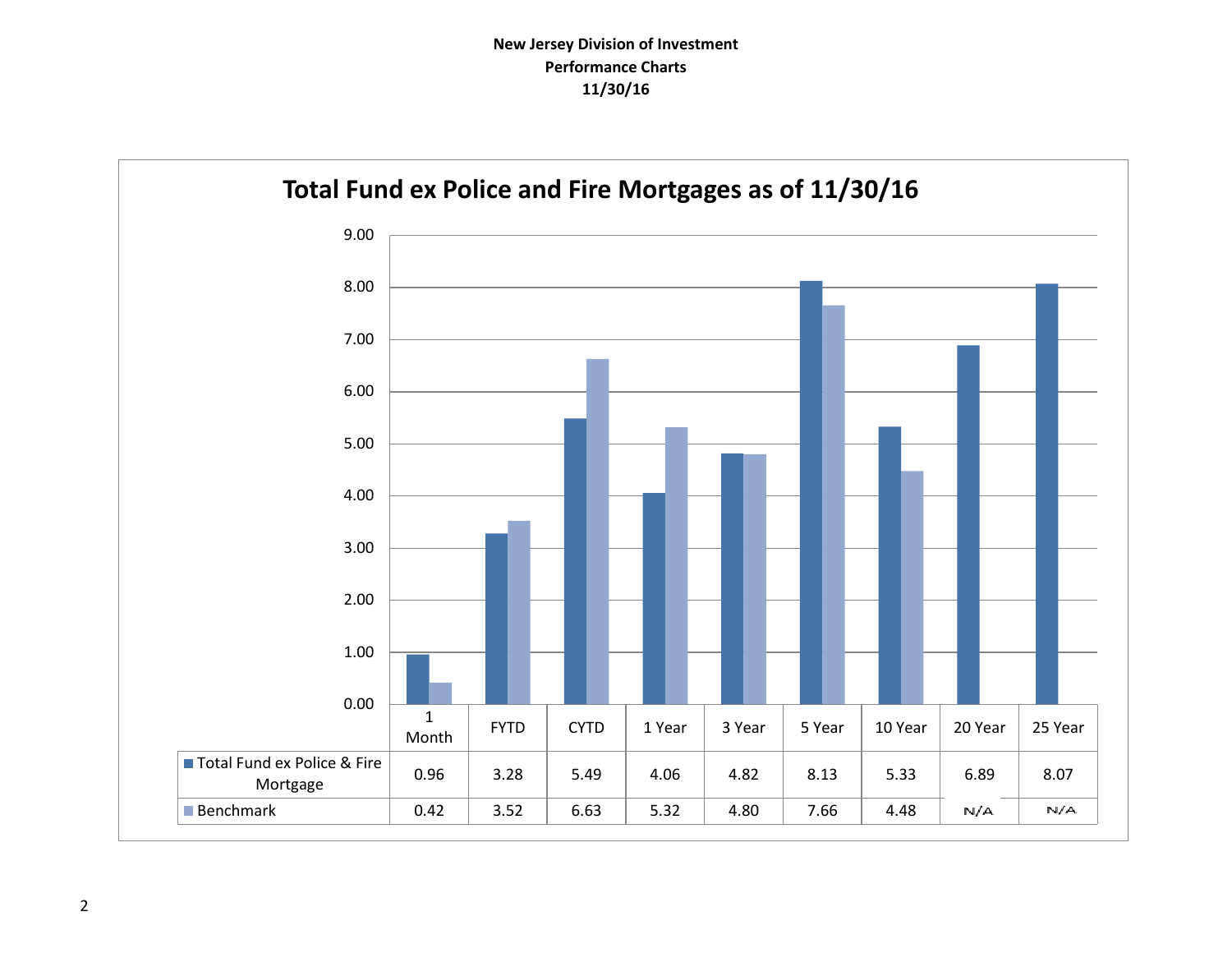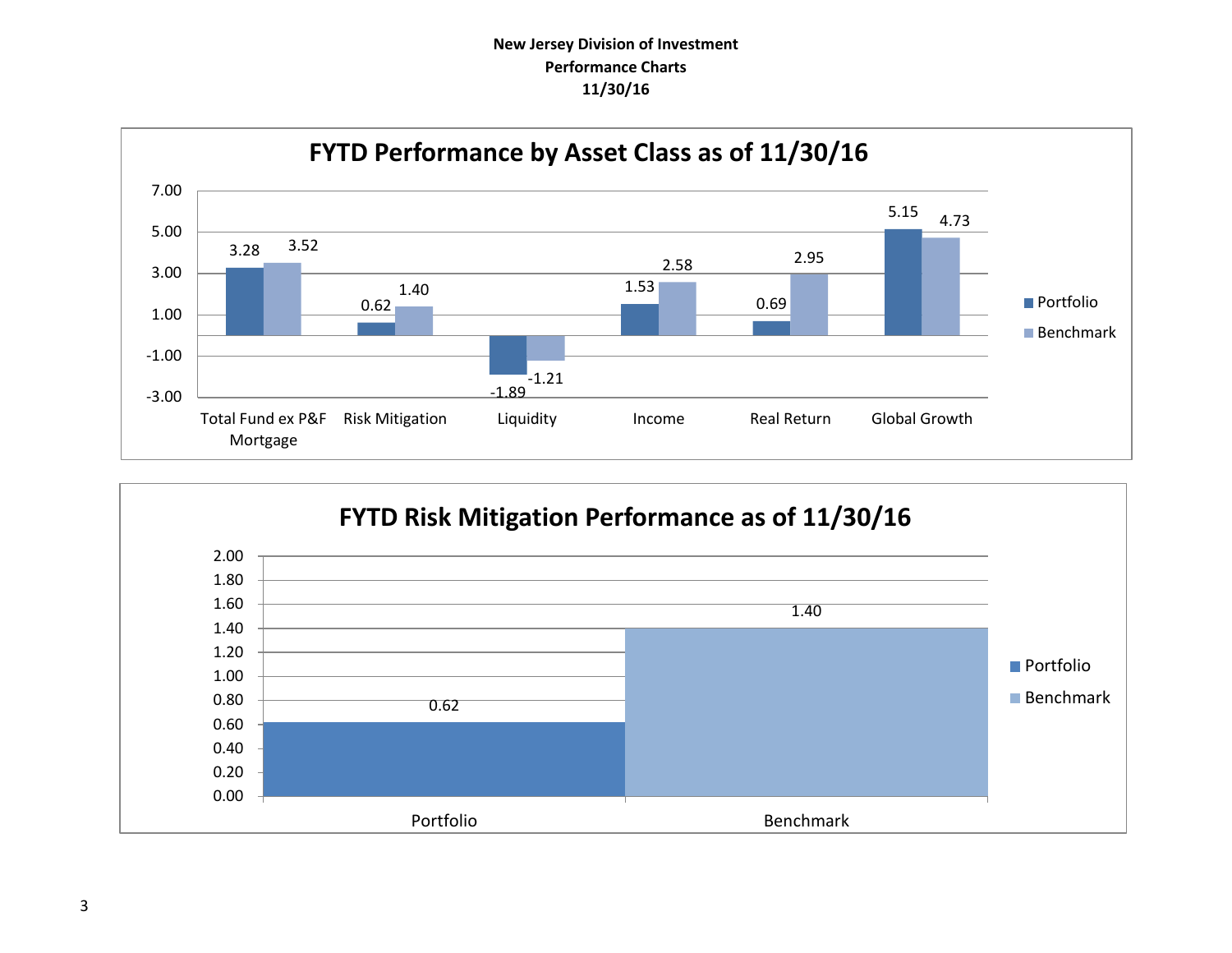# **New Jersey Division of Investment Performance Charts 11/30/16**



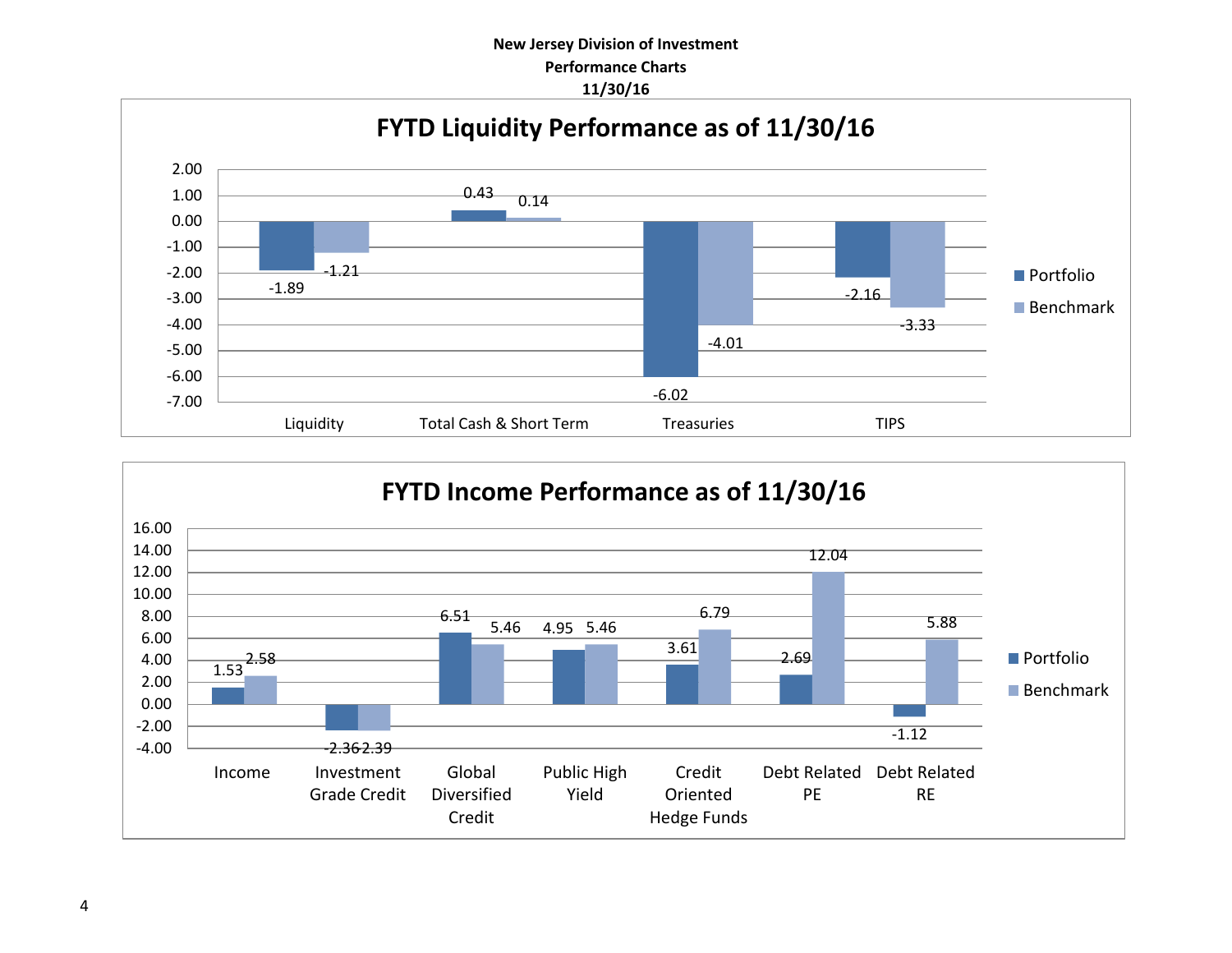# **New Jersey Division of Investment Performance Charts 11/30/16**



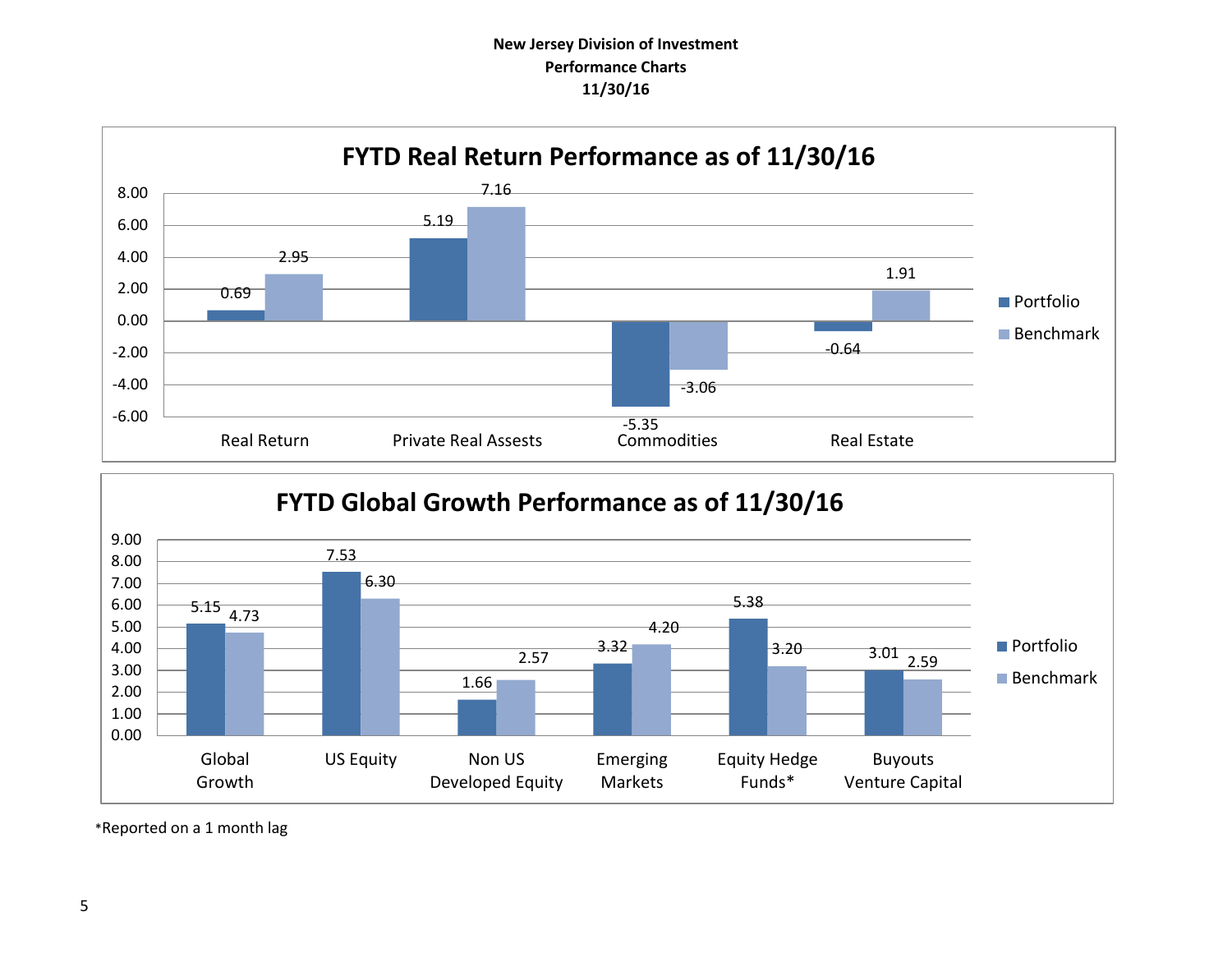# **New Jersey Division of Investment Performance Charts 11/30/16**





\*Reported on a 1 month lag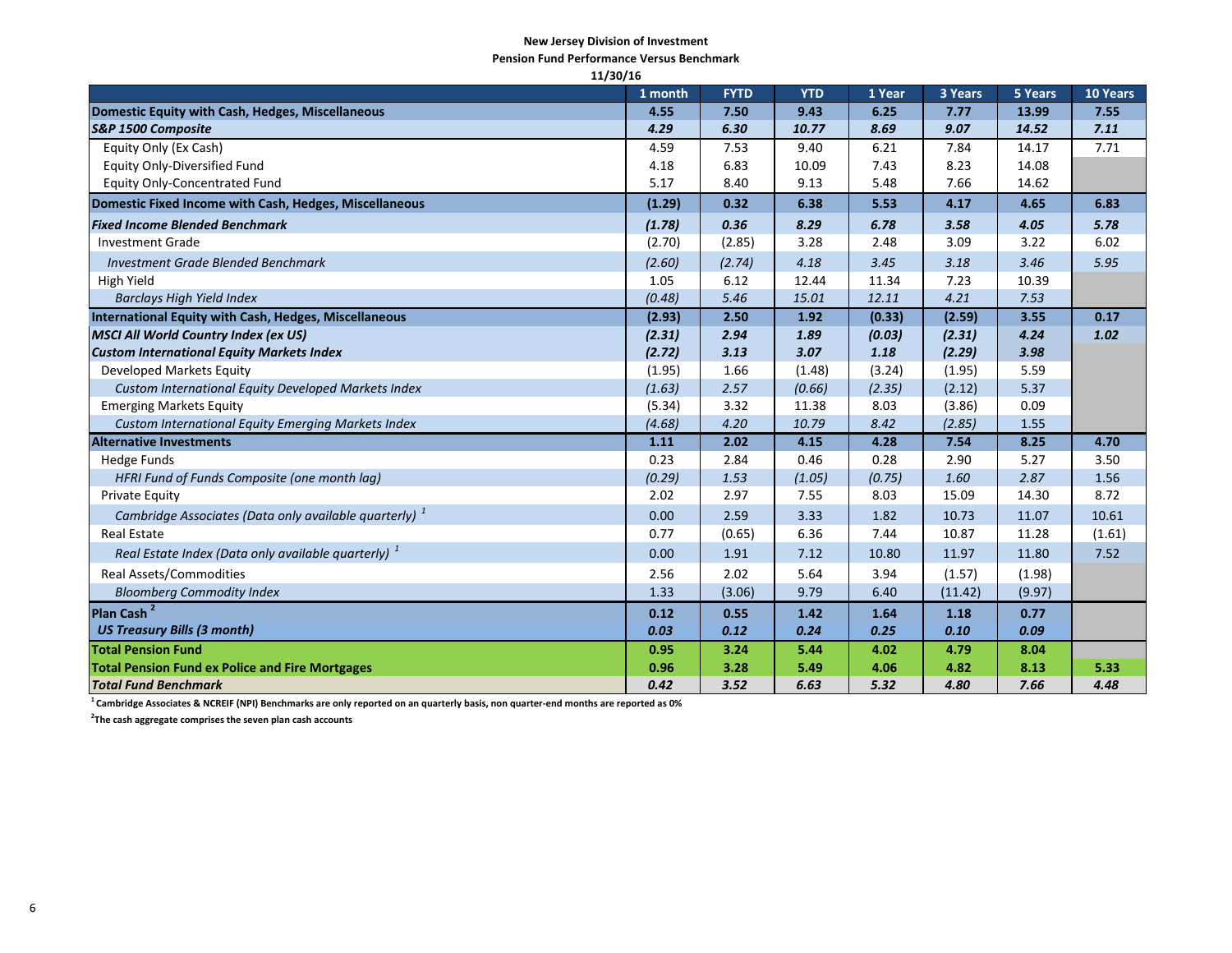#### **New Jersey Division of Investment**

**Pension Fund Performance Versus Benchmark**

| 11/30/16                                                          |         |             |            |        |         |         |                 |
|-------------------------------------------------------------------|---------|-------------|------------|--------|---------|---------|-----------------|
|                                                                   | 1 month | <b>FYTD</b> | <b>YTD</b> | 1 Year | 3 Years | 5 Years | <b>10 Years</b> |
| Domestic Equity with Cash, Hedges, Miscellaneous                  | 4.55    | 7.50        | 9.43       | 6.25   | 7.77    | 13.99   | 7.55            |
| S&P 1500 Composite                                                | 4.29    | 6.30        | 10.77      | 8.69   | 9.07    | 14.52   | 7.11            |
| Equity Only (Ex Cash)                                             | 4.59    | 7.53        | 9.40       | 6.21   | 7.84    | 14.17   | 7.71            |
| <b>Equity Only-Diversified Fund</b>                               | 4.18    | 6.83        | 10.09      | 7.43   | 8.23    | 14.08   |                 |
| <b>Equity Only-Concentrated Fund</b>                              | 5.17    | 8.40        | 9.13       | 5.48   | 7.66    | 14.62   |                 |
| Domestic Fixed Income with Cash, Hedges, Miscellaneous            | (1.29)  | 0.32        | 6.38       | 5.53   | 4.17    | 4.65    | 6.83            |
| <b>Fixed Income Blended Benchmark</b>                             | (1.78)  | 0.36        | 8.29       | 6.78   | 3.58    | 4.05    | 5.78            |
| <b>Investment Grade</b>                                           | (2.70)  | (2.85)      | 3.28       | 2.48   | 3.09    | 3.22    | 6.02            |
| <b>Investment Grade Blended Benchmark</b>                         | (2.60)  | (2.74)      | 4.18       | 3.45   | 3.18    | 3.46    | 5.95            |
| High Yield                                                        | 1.05    | 6.12        | 12.44      | 11.34  | 7.23    | 10.39   |                 |
| <b>Barclays High Yield Index</b>                                  | (0.48)  | 5.46        | 15.01      | 12.11  | 4.21    | 7.53    |                 |
| International Equity with Cash, Hedges, Miscellaneous             | (2.93)  | 2.50        | 1.92       | (0.33) | (2.59)  | 3.55    | 0.17            |
| <b>MSCI All World Country Index (ex US)</b>                       | (2.31)  | 2.94        | 1.89       | (0.03) | (2.31)  | 4.24    | 1.02            |
| <b>Custom International Equity Markets Index</b>                  | (2.72)  | 3.13        | 3.07       | 1.18   | (2.29)  | 3.98    |                 |
| Developed Markets Equity                                          | (1.95)  | 1.66        | (1.48)     | (3.24) | (1.95)  | 5.59    |                 |
| Custom International Equity Developed Markets Index               | (1.63)  | 2.57        | (0.66)     | (2.35) | (2.12)  | 5.37    |                 |
| <b>Emerging Markets Equity</b>                                    | (5.34)  | 3.32        | 11.38      | 8.03   | (3.86)  | 0.09    |                 |
| Custom International Equity Emerging Markets Index                | (4.68)  | 4.20        | 10.79      | 8.42   | (2.85)  | 1.55    |                 |
| <b>Alternative Investments</b>                                    | 1.11    | 2.02        | 4.15       | 4.28   | 7.54    | 8.25    | 4.70            |
| <b>Hedge Funds</b>                                                | 0.23    | 2.84        | 0.46       | 0.28   | 2.90    | 5.27    | 3.50            |
| HFRI Fund of Funds Composite (one month lag)                      | (0.29)  | 1.53        | (1.05)     | (0.75) | 1.60    | 2.87    | 1.56            |
| Private Equity                                                    | 2.02    | 2.97        | 7.55       | 8.03   | 15.09   | 14.30   | 8.72            |
| Cambridge Associates (Data only available quarterly) <sup>1</sup> | 0.00    | 2.59        | 3.33       | 1.82   | 10.73   | 11.07   | 10.61           |
| <b>Real Estate</b>                                                | 0.77    | (0.65)      | 6.36       | 7.44   | 10.87   | 11.28   | (1.61)          |
| Real Estate Index (Data only available quarterly) <sup>1</sup>    | 0.00    | 1.91        | 7.12       | 10.80  | 11.97   | 11.80   | 7.52            |
| <b>Real Assets/Commodities</b>                                    | 2.56    | 2.02        | 5.64       | 3.94   | (1.57)  | (1.98)  |                 |
| <b>Bloomberg Commodity Index</b>                                  | 1.33    | (3.06)      | 9.79       | 6.40   | (11.42) | (9.97)  |                 |
| Plan Cash <sup>2</sup>                                            | 0.12    | 0.55        | 1.42       | 1.64   | 1.18    | 0.77    |                 |
| <b>US Treasury Bills (3 month)</b>                                | 0.03    | 0.12        | 0.24       | 0.25   | 0.10    | 0.09    |                 |
| <b>Total Pension Fund</b>                                         | 0.95    | 3.24        | 5.44       | 4.02   | 4.79    | 8.04    |                 |
| <b>Total Pension Fund ex Police and Fire Mortgages</b>            | 0.96    | 3.28        | 5.49       | 4.06   | 4.82    | 8.13    | 5.33            |
| <b>Total Fund Benchmark</b>                                       | 0.42    | 3.52        | 6.63       | 5.32   | 4.80    | 7.66    | 4.48            |

**<sup>1</sup>Cambridge Associates & NCREIF (NPI) Benchmarks are only reported on an quarterly basis, non quarter-end months are reported as 0%**

**2 The cash aggregate comprises the seven plan cash accounts**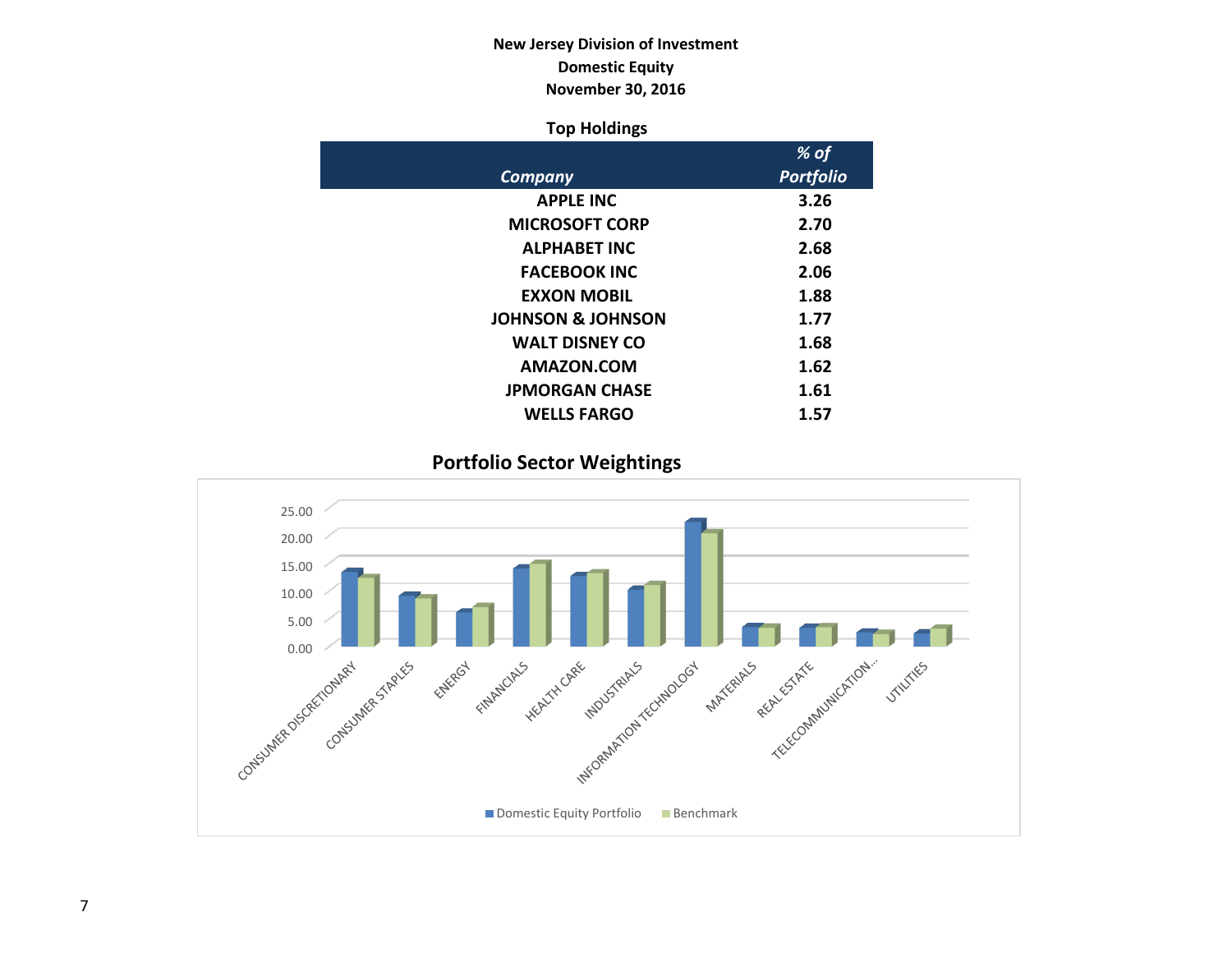# **New Jersey Division of Investment Domestic Equity November 30, 2016**

## **Top Holdings**

|                              | % of             |
|------------------------------|------------------|
| Company                      | <b>Portfolio</b> |
| <b>APPLE INC</b>             | 3.26             |
| <b>MICROSOFT CORP</b>        | 2.70             |
| <b>ALPHABET INC</b>          | 2.68             |
| <b>FACEBOOK INC</b>          | 2.06             |
| <b>EXXON MOBIL</b>           | 1.88             |
| <b>JOHNSON &amp; JOHNSON</b> | 1.77             |
| <b>WALT DISNEY CO</b>        | 1.68             |
| AMAZON.COM                   | 1.62             |
| <b>JPMORGAN CHASE</b>        | 1.61             |
| <b>WELLS FARGO</b>           | 1.57             |

**Portfolio Sector Weightings**

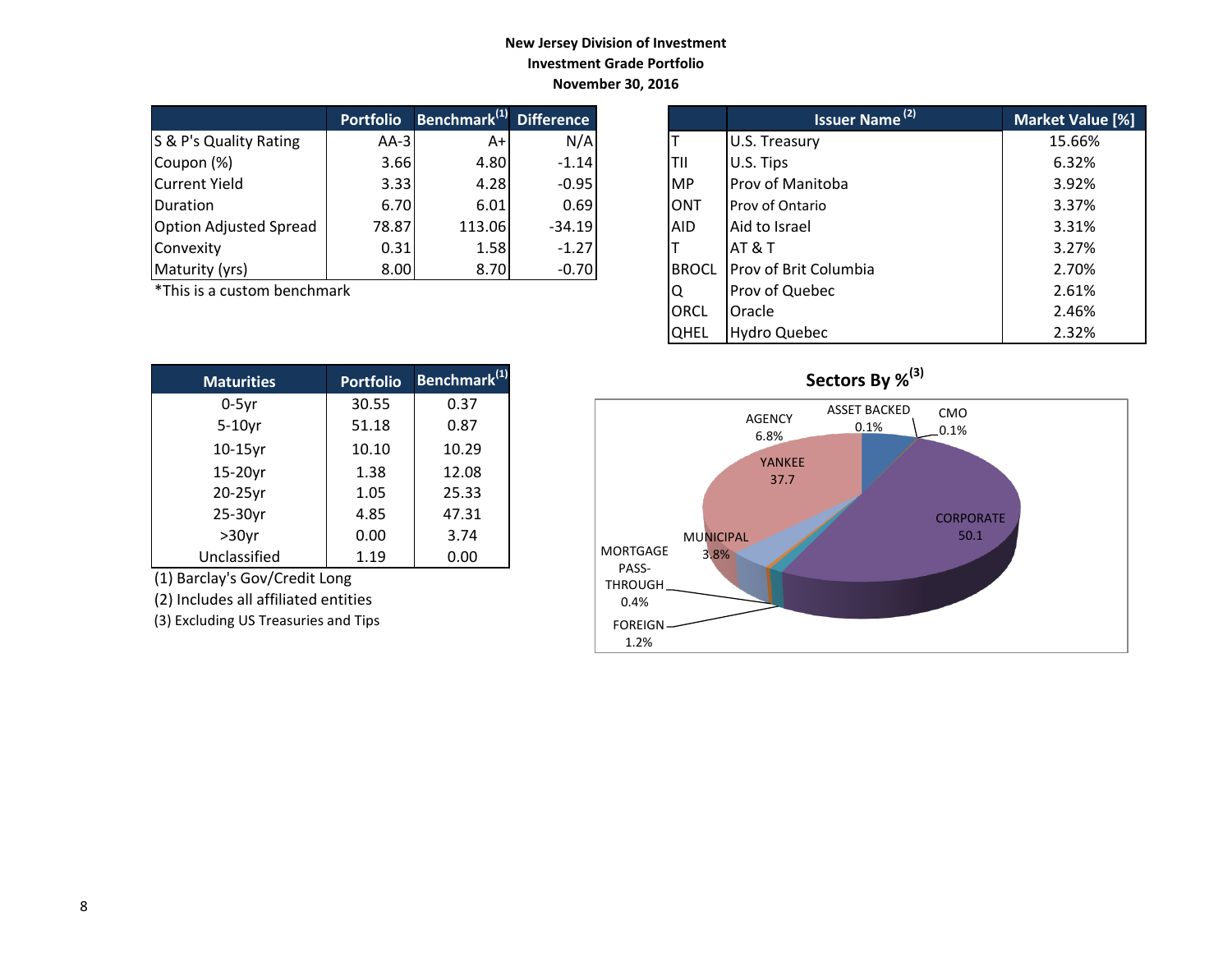### **New Jersey Division of Investment Investment Grade Portfolio November 30, 2016**

|                               | <b>Portfolio</b> | Benchmark <sup>(1)</sup> Difference |          |            | <b>Issuer Name<sup>(2)</sup></b> | <b>Market Valu</b> |
|-------------------------------|------------------|-------------------------------------|----------|------------|----------------------------------|--------------------|
| S & P's Quality Rating        | $AA-3I$          | A+                                  | N/A      |            | U.S. Treasury                    | 15.66%             |
| Coupon (%)                    | 3.66             | 4.80                                | $-1.14$  | ltii       | U.S. Tips                        | 6.32%              |
| Current Yield                 | 3.33             | 4.28                                | $-0.95$  | IMP        | <b>Prov of Manitoba</b>          | 3.92%              |
| Duration                      | 6.70             | 6.01                                | 0.69     | IONT       | <b>Prov of Ontario</b>           | 3.37%              |
| <b>Option Adjusted Spread</b> | 78.87            | 113.06                              | $-34.19$ | <b>AID</b> | Aid to Israel                    | 3.31%              |
| Convexity                     | 0.31             | 1.58                                | $-1.27$  |            | <b>AT &amp; T</b>                | 3.27%              |
| Maturity (yrs)                | 8.00             | 8.70                                | $-0.70$  |            | BROCL Prov of Brit Columbia      | 2.70%              |

 $*$ This is a custom benchmark

| <b>Maturities</b> | <b>Portfolio</b> | Benchmark <sup>(1)</sup> |
|-------------------|------------------|--------------------------|
| $0-5$ yr          | 30.55            | 0.37                     |
| $5-10$ yr         | 51.18            | 0.87                     |
| $10-15$ yr        | 10.10            | 10.29                    |
| 15-20yr           | 1.38             | 12.08                    |
| 20-25yr           | 1.05             | 25.33                    |
| 25-30yr           | 4.85             | 47.31                    |
| $>30$ yr          | 0.00             | 3.74                     |
| Unclassified      | 1.19             | 0.00                     |

(1) Barclay's Gov/Credit Long

(2) Includes all affiliated entities

(3) Excluding US Treasuries and Tips

| <b>Portfolio</b> | Benchmark <sup>(1)</sup> | <b>Difference</b> |              | <b>Issuer Name (2)</b> | Market Value [%] |
|------------------|--------------------------|-------------------|--------------|------------------------|------------------|
| $AA-3$           | $A+$                     | N/A               |              | U.S. Treasury          | 15.66%           |
| 3.66             | 4.80                     | $-1.14$           | ΤIΙ          | U.S. Tips              | 6.32%            |
| 3.33             | 4.28                     | $-0.95$           | <b>MP</b>    | Prov of Manitoba       | 3.92%            |
| 6.70             | 6.01                     | 0.69              | <b>ONT</b>   | Prov of Ontario        | 3.37%            |
| 78.87            | 113.06                   | $-34.19$          | <b>AID</b>   | Aid to Israel          | 3.31%            |
| 0.31             | 1.58                     | $-1.27$           |              | IAT & T                | 3.27%            |
| 8.00             | 8.70                     | $-0.70$           | <b>BROCL</b> | Prov of Brit Columbia  | 2.70%            |
| ۰k               |                          |                   | Q            | Prov of Quebec         | 2.61%            |
|                  |                          |                   | <b>ORCL</b>  | Oracle                 | 2.46%            |
|                  |                          |                   | <b>QHEL</b>  | <b>Hydro Quebec</b>    | 2.32%            |

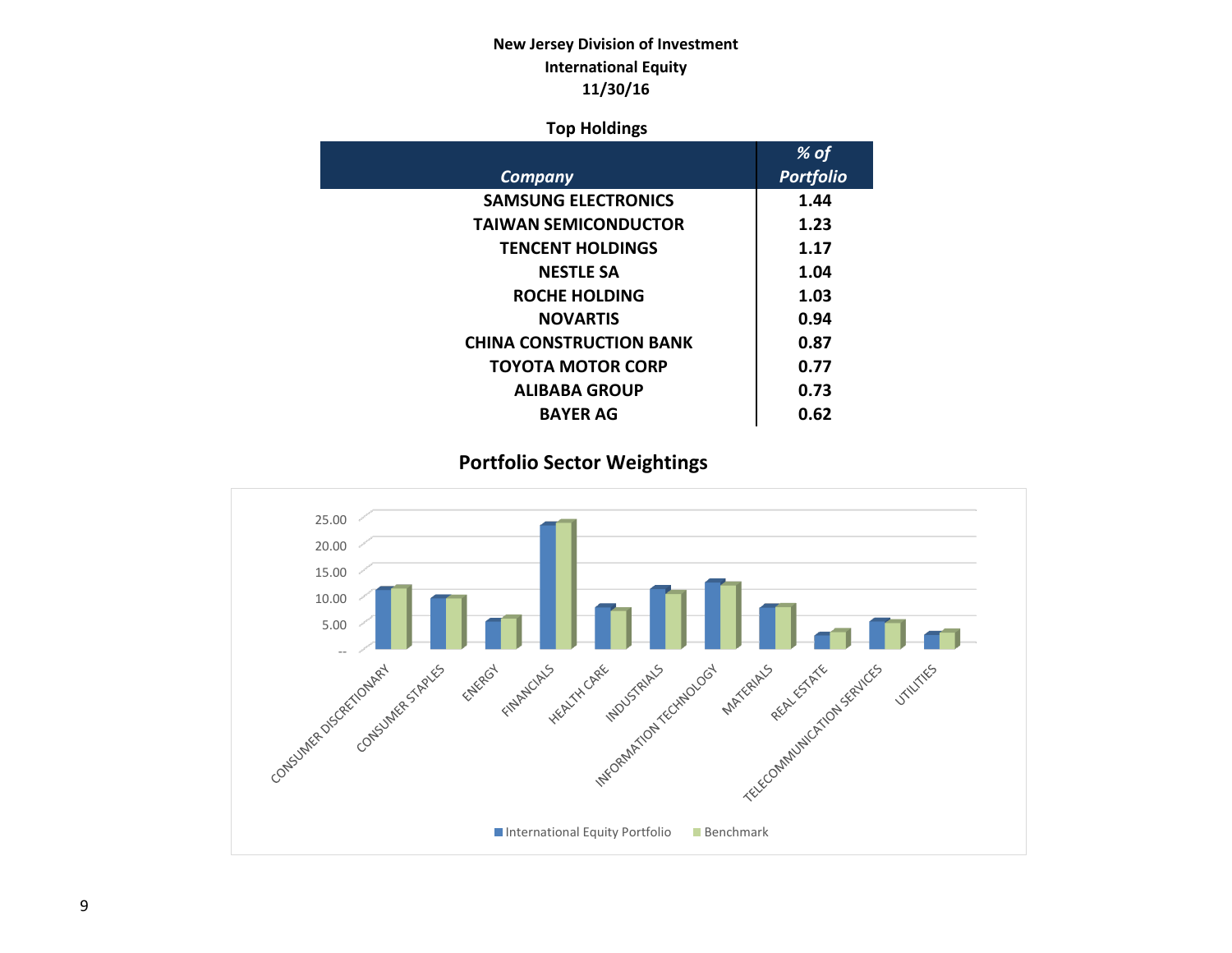# **New Jersey Division of Investment International Equity 11/30/16**

## **Top Holdings**

|                                | $%$ of           |
|--------------------------------|------------------|
| Company                        | <b>Portfolio</b> |
| <b>SAMSUNG ELECTRONICS</b>     | 1.44             |
| <b>TAIWAN SEMICONDUCTOR</b>    | 1.23             |
| <b>TENCENT HOLDINGS</b>        | 1.17             |
| <b>NESTLE SA</b>               | 1.04             |
| <b>ROCHE HOLDING</b>           | 1.03             |
| <b>NOVARTIS</b>                | 0.94             |
| <b>CHINA CONSTRUCTION BANK</b> | 0.87             |
| TOYOTA MOTOR CORP              | 0.77             |
| <b>ALIBABA GROUP</b>           | 0.73             |
| <b>BAYER AG</b>                | 0.62             |

# **Portfolio Sector Weightings**

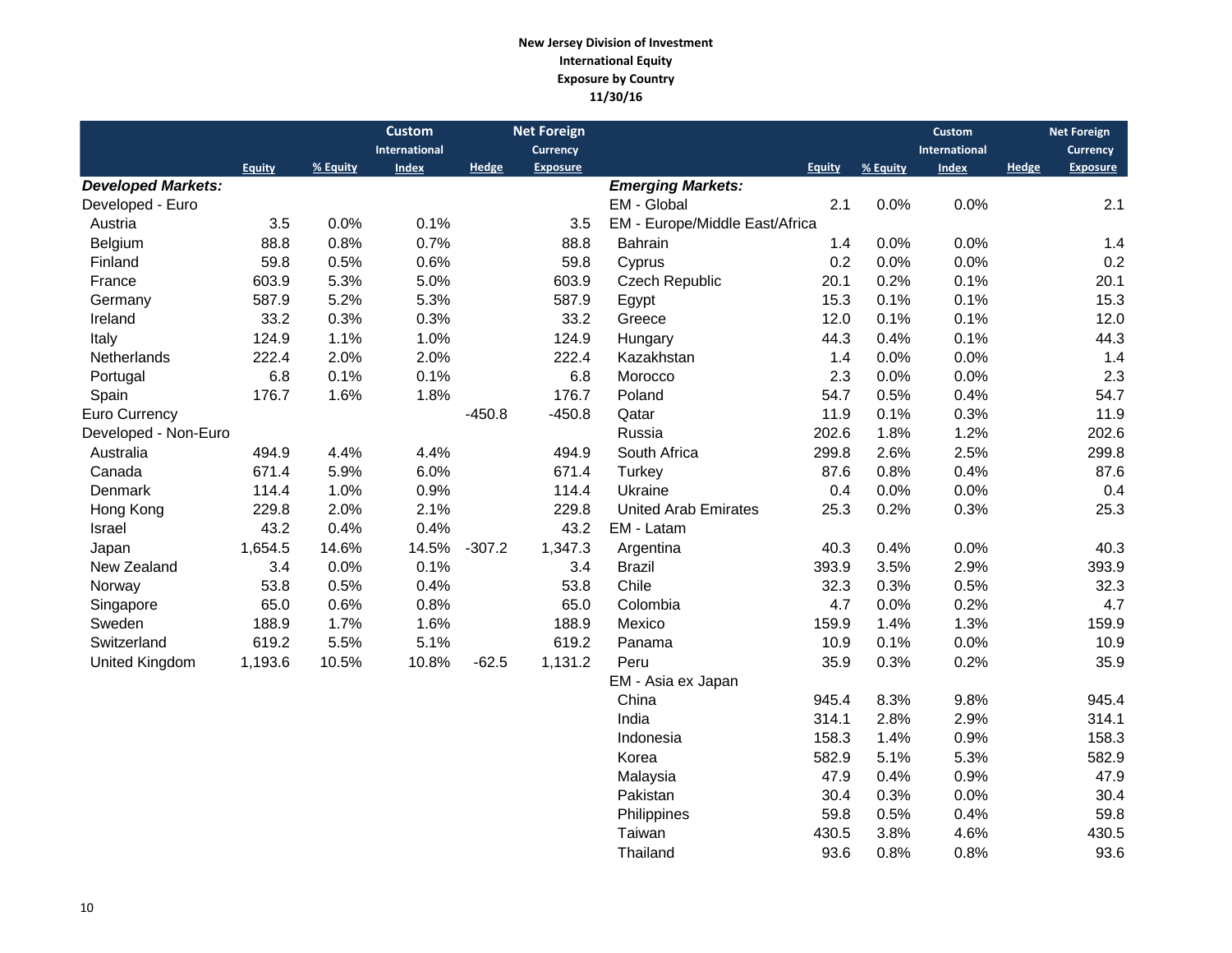#### **New Jersey Division of Investment International Equity Exposure by Country 11/30/16**

|                           |               |          | <b>Custom</b>        |              | <b>Net Foreign</b> |                                |               |          | <b>Custom</b> |              | <b>Net Foreign</b> |
|---------------------------|---------------|----------|----------------------|--------------|--------------------|--------------------------------|---------------|----------|---------------|--------------|--------------------|
|                           |               |          | <b>International</b> |              | <b>Currency</b>    |                                |               |          | International |              | Currency           |
|                           | <b>Equity</b> | % Equity | Index                | <b>Hedge</b> | <b>Exposure</b>    |                                | <b>Equity</b> | % Equity | <b>Index</b>  | <b>Hedge</b> | <b>Exposure</b>    |
| <b>Developed Markets:</b> |               |          |                      |              |                    | <b>Emerging Markets:</b>       |               |          |               |              |                    |
| Developed - Euro          |               |          |                      |              |                    | EM - Global                    | 2.1           | 0.0%     | 0.0%          |              | 2.1                |
| Austria                   | 3.5           | 0.0%     | 0.1%                 |              | 3.5                | EM - Europe/Middle East/Africa |               |          |               |              |                    |
| Belgium                   | 88.8          | 0.8%     | 0.7%                 |              | 88.8               | <b>Bahrain</b>                 | 1.4           | 0.0%     | 0.0%          |              | 1.4                |
| Finland                   | 59.8          | 0.5%     | 0.6%                 |              | 59.8               | Cyprus                         | 0.2           | 0.0%     | 0.0%          |              | 0.2                |
| France                    | 603.9         | 5.3%     | 5.0%                 |              | 603.9              | Czech Republic                 | 20.1          | 0.2%     | 0.1%          |              | 20.1               |
| Germany                   | 587.9         | 5.2%     | 5.3%                 |              | 587.9              | Egypt                          | 15.3          | 0.1%     | 0.1%          |              | 15.3               |
| Ireland                   | 33.2          | 0.3%     | 0.3%                 |              | 33.2               | Greece                         | 12.0          | 0.1%     | 0.1%          |              | 12.0               |
| Italy                     | 124.9         | 1.1%     | 1.0%                 |              | 124.9              | Hungary                        | 44.3          | 0.4%     | 0.1%          |              | 44.3               |
| Netherlands               | 222.4         | 2.0%     | 2.0%                 |              | 222.4              | Kazakhstan                     | 1.4           | 0.0%     | 0.0%          |              | 1.4                |
| Portugal                  | 6.8           | 0.1%     | 0.1%                 |              | 6.8                | Morocco                        | 2.3           | 0.0%     | 0.0%          |              | 2.3                |
| Spain                     | 176.7         | 1.6%     | 1.8%                 |              | 176.7              | Poland                         | 54.7          | 0.5%     | 0.4%          |              | 54.7               |
| Euro Currency             |               |          |                      | $-450.8$     | $-450.8$           | Qatar                          | 11.9          | 0.1%     | 0.3%          |              | 11.9               |
| Developed - Non-Euro      |               |          |                      |              |                    | Russia                         | 202.6         | 1.8%     | 1.2%          |              | 202.6              |
| Australia                 | 494.9         | 4.4%     | 4.4%                 |              | 494.9              | South Africa                   | 299.8         | 2.6%     | 2.5%          |              | 299.8              |
| Canada                    | 671.4         | 5.9%     | 6.0%                 |              | 671.4              | Turkey                         | 87.6          | 0.8%     | 0.4%          |              | 87.6               |
| Denmark                   | 114.4         | 1.0%     | 0.9%                 |              | 114.4              | Ukraine                        | 0.4           | 0.0%     | 0.0%          |              | 0.4                |
| Hong Kong                 | 229.8         | 2.0%     | 2.1%                 |              | 229.8              | <b>United Arab Emirates</b>    | 25.3          | 0.2%     | 0.3%          |              | 25.3               |
| Israel                    | 43.2          | 0.4%     | 0.4%                 |              | 43.2               | EM - Latam                     |               |          |               |              |                    |
| Japan                     | 1,654.5       | 14.6%    | 14.5%                | $-307.2$     | 1,347.3            | Argentina                      | 40.3          | 0.4%     | 0.0%          |              | 40.3               |
| New Zealand               | 3.4           | 0.0%     | 0.1%                 |              | 3.4                | <b>Brazil</b>                  | 393.9         | 3.5%     | 2.9%          |              | 393.9              |
| Norway                    | 53.8          | 0.5%     | 0.4%                 |              | 53.8               | Chile                          | 32.3          | 0.3%     | 0.5%          |              | 32.3               |
| Singapore                 | 65.0          | 0.6%     | 0.8%                 |              | 65.0               | Colombia                       | 4.7           | 0.0%     | 0.2%          |              | 4.7                |
| Sweden                    | 188.9         | 1.7%     | 1.6%                 |              | 188.9              | Mexico                         | 159.9         | 1.4%     | 1.3%          |              | 159.9              |
| Switzerland               | 619.2         | 5.5%     | 5.1%                 |              | 619.2              | Panama                         | 10.9          | 0.1%     | 0.0%          |              | 10.9               |
| United Kingdom            | 1,193.6       | 10.5%    | 10.8%                | $-62.5$      | 1,131.2            | Peru                           | 35.9          | 0.3%     | 0.2%          |              | 35.9               |
|                           |               |          |                      |              |                    | EM - Asia ex Japan             |               |          |               |              |                    |
|                           |               |          |                      |              |                    | China                          | 945.4         | 8.3%     | 9.8%          |              | 945.4              |
|                           |               |          |                      |              |                    | India                          | 314.1         | 2.8%     | 2.9%          |              | 314.1              |
|                           |               |          |                      |              |                    | Indonesia                      | 158.3         | 1.4%     | 0.9%          |              | 158.3              |
|                           |               |          |                      |              |                    | Korea                          | 582.9         | 5.1%     | 5.3%          |              | 582.9              |
|                           |               |          |                      |              |                    | Malaysia                       | 47.9          | 0.4%     | 0.9%          |              | 47.9               |

 Pakistan 30.4 0.3% 0.0% 30.4 Philippines 59.8 0.5% 0.4% 59.8 Taiwan 130.5 3.8% 4.6% 430.5<br>Thailand 93.6 0.8% 0.8% 93.6

Thailand 93.6 0.8% 0.8% 93.6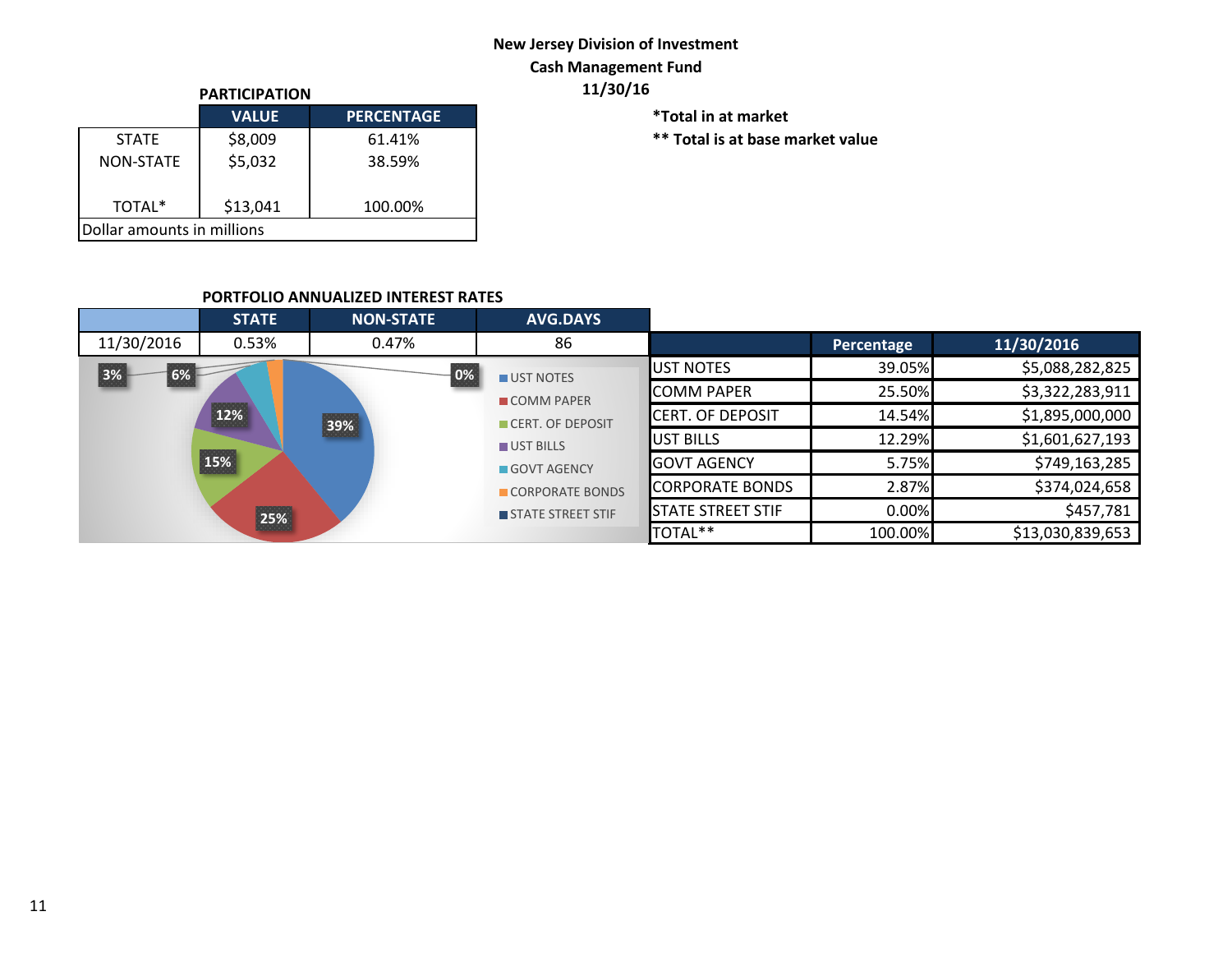# **New Jersey Division of Investment Cash Management Fund**

| <b>PARTICIPATION</b>          |              |                   |  |  |  |  |  |
|-------------------------------|--------------|-------------------|--|--|--|--|--|
|                               | <b>VALUE</b> | <b>PERCENTAGE</b> |  |  |  |  |  |
| <b>STATF</b>                  | \$8,009      | 61.41%            |  |  |  |  |  |
| <b>NON-STATE</b>              | \$5,032      | 38.59%            |  |  |  |  |  |
| \$13,041<br>TOTAL*<br>100.00% |              |                   |  |  |  |  |  |
| Dollar amounts in millions    |              |                   |  |  |  |  |  |

**PARTICIPATION 11/30/16**

 $*$ Total in at market

 $***$  Total is at base market value

### **PORTFOLIO ANNUALIZED INTEREST RATES**

|                   | <b>STATE</b> | <b>NON-STATE</b> | <b>AVG.DAYS</b>   |                          |                 |                  |
|-------------------|--------------|------------------|-------------------|--------------------------|-----------------|------------------|
| 11/30/2016        | 0.53%        | 0.47%            | 86                |                          | Percentage      | 11/30/2016       |
| 3%<br>6%<br>0%    |              | UST NOTES        | <b>IUST NOTES</b> | 39.05%                   | \$5,088,282,825 |                  |
|                   |              |                  | <b>COMM PAPER</b> | <b>COMM PAPER</b>        | 25.50%          | \$3,322,283,911  |
| 12%<br>39%<br>15% |              |                  | CERT. OF DEPOSIT  | <b>ICERT. OF DEPOSIT</b> | 14.54%          | \$1,895,000,000  |
|                   |              |                  | UST BILLS         | <b>IUST BILLS</b>        | 12.29%          | \$1,601,627,193  |
|                   |              |                  | GOVT AGENCY       | <b>GOVT AGENCY</b>       | 5.75%           | \$749,163,285    |
|                   |              |                  | CORPORATE BONDS   | <b>CORPORATE BONDS</b>   | 2.87%           | \$374,024,658    |
|                   | 25%          |                  | STATE STREET STIF | <b>STATE STREET STIF</b> | 0.00%           | \$457,781        |
|                   |              |                  |                   | TOTAL**                  | 100.00%         | \$13,030,839,653 |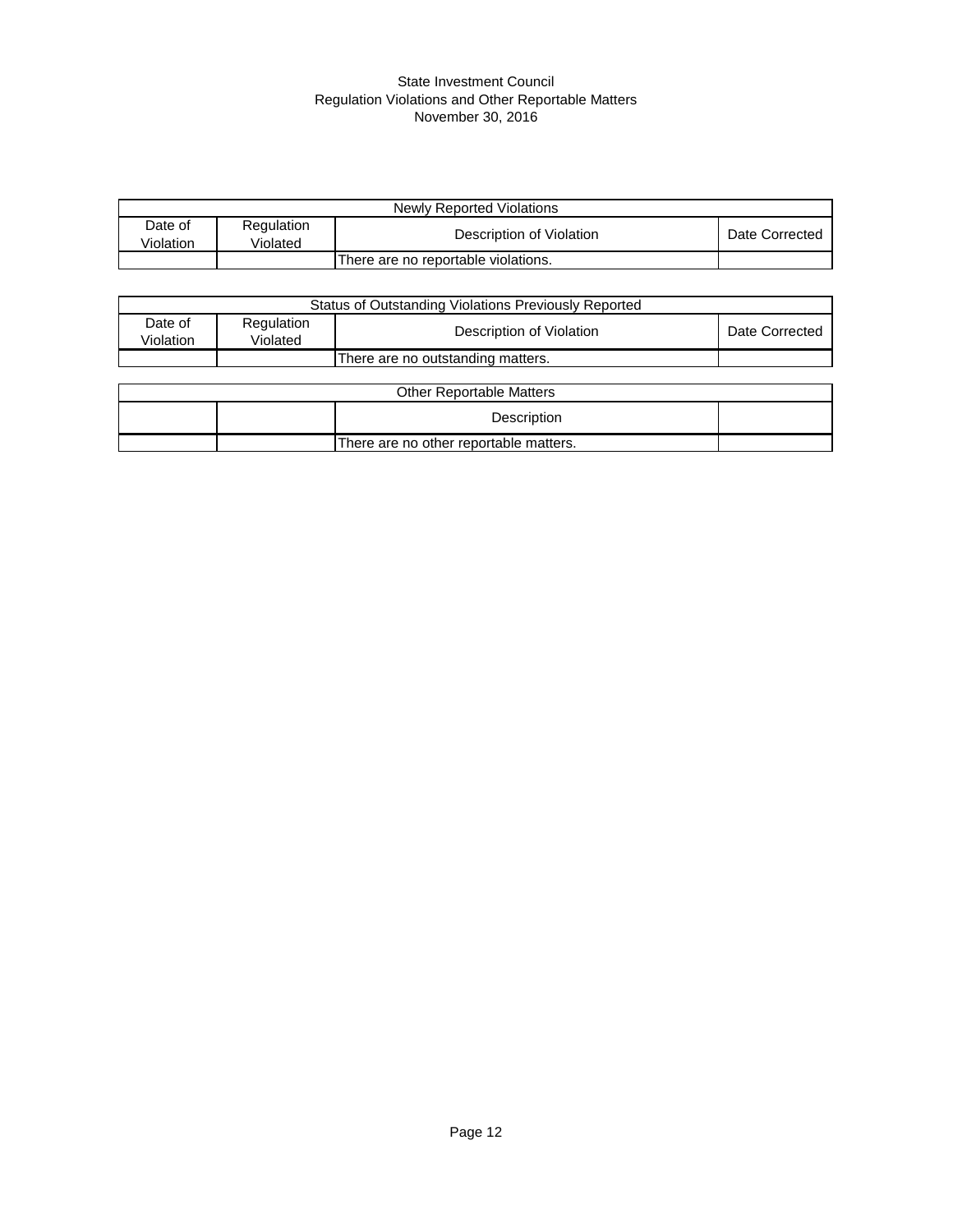#### State Investment Council Regulation Violations and Other Reportable Matters November 30, 2016

| Newly Reported Violations |                        |                                     |                |  |  |
|---------------------------|------------------------|-------------------------------------|----------------|--|--|
| Date of<br>Violation      | Regulation<br>Violated | Description of Violation            | Date Corrected |  |  |
|                           |                        | There are no reportable violations. |                |  |  |

| Status of Outstanding Violations Previously Reported |                        |                                        |                |  |  |
|------------------------------------------------------|------------------------|----------------------------------------|----------------|--|--|
| Date of<br>Violation                                 | Regulation<br>Violated | Description of Violation               | Date Corrected |  |  |
|                                                      |                        | There are no outstanding matters.      |                |  |  |
|                                                      |                        |                                        |                |  |  |
|                                                      |                        | <b>Other Reportable Matters</b>        |                |  |  |
|                                                      |                        | Description                            |                |  |  |
|                                                      |                        | There are no other reportable matters. |                |  |  |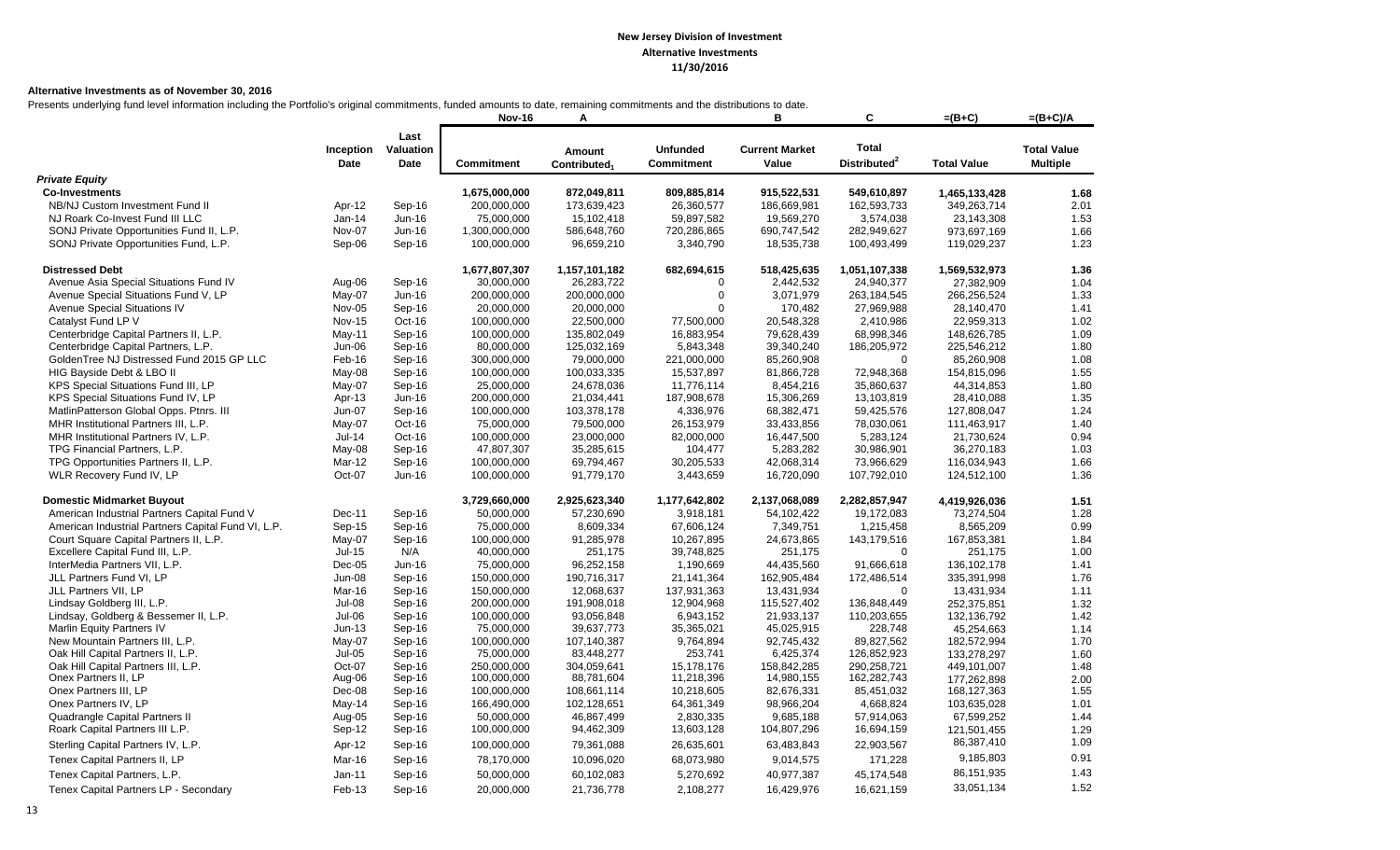#### **Alternative Investments as of November 30, 2016**

Presents underlying fund level information including the Portfolio's original commitments, funded amounts to date, remaining commitments and the distributions to date.

|                                                    |                   |                           | <b>Nov-16</b>     | Α                                  |                                      | в                              | С                                        | $=(B+C)$           | $=(B+C)/A$                            |
|----------------------------------------------------|-------------------|---------------------------|-------------------|------------------------------------|--------------------------------------|--------------------------------|------------------------------------------|--------------------|---------------------------------------|
|                                                    | Inception<br>Date | Last<br>Valuation<br>Date | <b>Commitment</b> | Amount<br>Contributed <sub>1</sub> | <b>Unfunded</b><br><b>Commitment</b> | <b>Current Market</b><br>Value | <b>Total</b><br>Distributed <sup>2</sup> | <b>Total Value</b> | <b>Total Value</b><br><b>Multiple</b> |
| <b>Private Equity</b>                              |                   |                           |                   |                                    |                                      |                                |                                          |                    |                                       |
| <b>Co-Investments</b>                              |                   |                           | 1,675,000,000     | 872,049,811                        | 809,885,814                          | 915,522,531                    | 549,610,897                              | 1,465,133,428      | 1.68                                  |
| NB/NJ Custom Investment Fund II                    | Apr-12            | Sep-16                    | 200,000,000       | 173,639,423                        | 26,360,577                           | 186,669,981                    | 162,593,733                              | 349,263,714        | 2.01                                  |
| NJ Roark Co-Invest Fund III LLC                    | Jan-14            | Jun-16                    | 75,000,000        | 15,102,418                         | 59,897,582                           | 19,569,270                     | 3,574,038                                | 23,143,308         | 1.53                                  |
| SONJ Private Opportunities Fund II, L.P.           | Nov-07            | Jun-16                    | 1,300,000,000     | 586,648,760                        | 720,286,865                          | 690,747,542                    | 282,949,627                              | 973,697,169        | 1.66                                  |
| SONJ Private Opportunities Fund, L.P.              | Sep-06            | Sep-16                    | 100,000,000       | 96,659,210                         | 3,340,790                            | 18,535,738                     | 100,493,499                              | 119,029,237        | 1.23                                  |
| <b>Distressed Debt</b>                             |                   |                           | 1,677,807,307     | 1,157,101,182                      | 682,694,615                          | 518,425,635                    | 1,051,107,338                            | 1,569,532,973      | 1.36                                  |
| Avenue Asia Special Situations Fund IV             | Aug-06            | Sep-16                    | 30,000,000        | 26,283,722                         | $\Omega$                             | 2,442,532                      | 24,940,377                               | 27,382,909         | 1.04                                  |
| Avenue Special Situations Fund V, LP               | May-07            | Jun-16                    | 200,000,000       | 200,000,000                        | $\Omega$                             | 3,071,979                      | 263,184,545                              | 266,256,524        | 1.33                                  |
| Avenue Special Situations IV                       | <b>Nov-05</b>     | Sep-16                    | 20,000,000        | 20,000,000                         | $\Omega$                             | 170,482                        | 27,969,988                               | 28,140,470         | 1.41                                  |
| Catalyst Fund LP V                                 | <b>Nov-15</b>     | Oct-16                    | 100,000,000       | 22,500,000                         | 77,500,000                           | 20,548,328                     | 2,410,986                                | 22,959,313         | 1.02                                  |
| Centerbridge Capital Partners II, L.P.             | May-11            | Sep-16                    | 100,000,000       | 135,802,049                        | 16,883,954                           | 79,628,439                     | 68,998,346                               | 148,626,785        | 1.09                                  |
| Centerbridge Capital Partners, L.P.                | Jun-06            | Sep-16                    | 80,000,000        | 125,032,169                        | 5,843,348                            | 39,340,240                     | 186,205,972                              | 225,546,212        | 1.80                                  |
| GoldenTree NJ Distressed Fund 2015 GP LLC          | Feb-16            | Sep-16                    | 300,000,000       | 79,000,000                         | 221,000,000                          | 85,260,908                     | $\mathbf 0$                              | 85,260,908         | 1.08                                  |
| HIG Bayside Debt & LBO II                          | May-08            | Sep-16                    | 100,000,000       | 100,033,335                        | 15,537,897                           | 81,866,728                     | 72,948,368                               | 154,815,096        | 1.55                                  |
| KPS Special Situations Fund III, LP                | May-07            | Sep-16                    | 25,000,000        | 24,678,036                         | 11,776,114                           | 8,454,216                      | 35,860,637                               | 44,314,853         | 1.80                                  |
| KPS Special Situations Fund IV, LP                 | Apr-13            | Jun-16                    | 200,000,000       | 21,034,441                         | 187,908,678                          | 15,306,269                     | 13,103,819                               | 28,410,088         | 1.35                                  |
| MatlinPatterson Global Opps. Ptnrs. III            | Jun-07            | Sep-16                    | 100,000,000       | 103,378,178                        | 4,336,976                            | 68,382,471                     | 59,425,576                               | 127,808,047        | 1.24                                  |
| MHR Institutional Partners III, L.P.               | May-07            | Oct-16                    | 75,000,000        | 79,500,000                         | 26,153,979                           | 33,433,856                     | 78,030,061                               | 111,463,917        | 1.40                                  |
| MHR Institutional Partners IV, L.P.                | $Jul-14$          | Oct-16                    | 100,000,000       | 23,000,000                         | 82,000,000                           | 16,447,500                     | 5,283,124                                | 21,730,624         | 0.94                                  |
| TPG Financial Partners, L.P.                       | May-08            | Sep-16                    | 47,807,307        | 35,285,615                         | 104,477                              | 5,283,282                      | 30,986,901                               | 36,270,183         | 1.03                                  |
| TPG Opportunities Partners II, L.P.                | Mar-12            | Sep-16                    | 100,000,000       | 69,794,467                         | 30,205,533                           | 42,068,314                     | 73,966,629                               | 116,034,943        | 1.66                                  |
| WLR Recovery Fund IV, LP                           | Oct-07            | Jun-16                    | 100,000,000       | 91,779,170                         | 3,443,659                            | 16,720,090                     | 107,792,010                              | 124,512,100        | 1.36                                  |
| <b>Domestic Midmarket Buyout</b>                   |                   |                           | 3,729,660,000     | 2,925,623,340                      | 1,177,642,802                        | 2,137,068,089                  | 2,282,857,947                            | 4,419,926,036      | 1.51                                  |
| American Industrial Partners Capital Fund V        | Dec-11            | Sep-16                    | 50,000,000        | 57,230,690                         | 3,918,181                            | 54,102,422                     | 19,172,083                               | 73,274,504         | 1.28                                  |
| American Industrial Partners Capital Fund VI, L.P. | Sep-15            | Sep-16                    | 75,000,000        | 8,609,334                          | 67,606,124                           | 7,349,751                      | 1,215,458                                | 8,565,209          | 0.99                                  |
| Court Square Capital Partners II, L.P.             | May-07            | Sep-16                    | 100,000,000       | 91,285,978                         | 10,267,895                           | 24,673,865                     | 143,179,516                              | 167,853,381        | 1.84                                  |
| Excellere Capital Fund III, L.P.                   | $Jul-15$          | N/A                       | 40,000,000        | 251,175                            | 39,748,825                           | 251,175                        | $\mathbf 0$                              | 251,175            | 1.00                                  |
| InterMedia Partners VII, L.P.                      | $Dec-05$          | Jun-16                    | 75,000,000        | 96,252,158                         | 1,190,669                            | 44,435,560                     | 91,666,618                               | 136, 102, 178      | 1.41                                  |
| JLL Partners Fund VI, LP                           | <b>Jun-08</b>     | Sep-16                    | 150,000,000       | 190,716,317                        | 21,141,364                           | 162,905,484                    | 172,486,514                              | 335,391,998        | 1.76                                  |
| JLL Partners VII, LP                               | Mar-16            | Sep-16                    | 150,000,000       | 12,068,637                         | 137,931,363                          | 13,431,934                     | $\mathbf 0$                              | 13,431,934         | 1.11                                  |
| Lindsay Goldberg III, L.P.                         | $Jul-08$          | Sep-16                    | 200,000,000       | 191,908,018                        | 12,904,968                           | 115,527,402                    | 136,848,449                              | 252,375,851        | 1.32                                  |
| Lindsay, Goldberg & Bessemer II, L.P.              | Jul-06            | Sep-16                    | 100,000,000       | 93,056,848                         | 6,943,152                            | 21,933,137                     | 110,203,655                              | 132, 136, 792      | 1.42                                  |
| Marlin Equity Partners IV                          | $Jun-13$          | Sep-16                    | 75,000,000        | 39,637,773                         | 35,365,021                           | 45,025,915                     | 228,748                                  | 45,254,663         | 1.14                                  |
| New Mountain Partners III, L.P.                    | May-07            | Sep-16                    | 100,000,000       | 107,140,387                        | 9,764,894                            | 92,745,432                     | 89,827,562                               | 182,572,994        | 1.70                                  |
| Oak Hill Capital Partners II, L.P.                 | $Jul-05$          | Sep-16                    | 75,000,000        | 83,448,277                         | 253,741                              | 6,425,374                      | 126,852,923                              | 133,278,297        | 1.60                                  |
| Oak Hill Capital Partners III, L.P.                | Oct-07            | Sep-16                    | 250,000,000       | 304,059,641                        | 15,178,176                           | 158,842,285                    | 290,258,721                              | 449,101,007        | 1.48                                  |
| Onex Partners II, LP                               | Aug-06            | Sep-16                    | 100,000,000       | 88,781,604                         | 11,218,396                           | 14,980,155                     | 162,282,743                              | 177.262.898        | 2.00                                  |
| Onex Partners III, LP                              | Dec-08            | Sep-16                    | 100,000,000       | 108,661,114                        | 10,218,605                           | 82,676,331                     | 85,451,032                               | 168, 127, 363      | 1.55                                  |
| Onex Partners IV, LP                               | $May-14$          | Sep-16                    | 166,490,000       | 102,128,651                        | 64,361,349                           | 98,966,204                     | 4,668,824                                | 103,635,028        | 1.01                                  |
| Quadrangle Capital Partners II                     | Aug-05            | Sep-16                    | 50,000,000        | 46,867,499                         | 2,830,335                            | 9,685,188                      | 57,914,063                               | 67,599,252         | 1.44                                  |
| Roark Capital Partners III L.P.                    | Sep-12            | Sep-16                    | 100,000,000       | 94,462,309                         | 13,603,128                           | 104,807,296                    | 16,694,159                               | 121,501,455        | 1.29                                  |
| Sterling Capital Partners IV, L.P.                 | Apr-12            | Sep-16                    | 100,000,000       | 79,361,088                         | 26,635,601                           | 63,483,843                     | 22,903,567                               | 86,387,410         | 1.09                                  |
| Tenex Capital Partners II, LP                      | Mar-16            | Sep-16                    | 78,170,000        | 10,096,020                         | 68,073,980                           | 9,014,575                      | 171,228                                  | 9,185,803          | 0.91                                  |
| Tenex Capital Partners, L.P.                       | Jan-11            | Sep-16                    | 50,000,000        | 60,102,083                         | 5,270,692                            | 40,977,387                     | 45,174,548                               | 86,151,935         | 1.43                                  |
| Tenex Capital Partners LP - Secondary              | Feb-13            | Sep-16                    | 20,000,000        | 21,736,778                         | 2,108,277                            | 16,429,976                     | 16,621,159                               | 33,051,134         | 1.52                                  |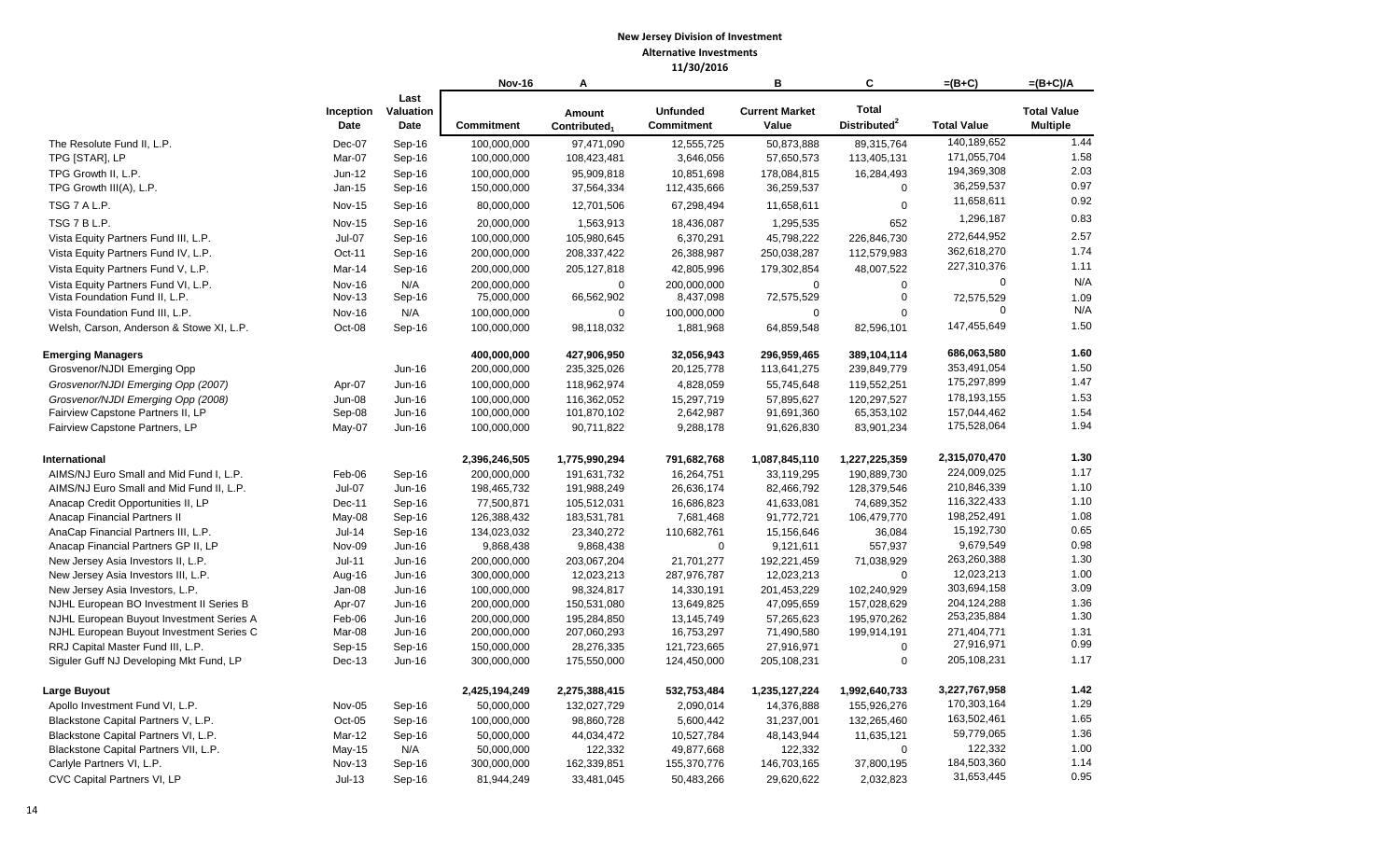|                                          |                   |                           | <b>Nov-16</b>     | А                                  |                                      | в                              | C                                        | $=(B+C)$           | $=(B+C)/A$                            |
|------------------------------------------|-------------------|---------------------------|-------------------|------------------------------------|--------------------------------------|--------------------------------|------------------------------------------|--------------------|---------------------------------------|
|                                          | Inception<br>Date | Last<br>Valuation<br>Date | <b>Commitment</b> | Amount<br>Contributed <sub>1</sub> | <b>Unfunded</b><br><b>Commitment</b> | <b>Current Market</b><br>Value | <b>Total</b><br>Distributed <sup>2</sup> | <b>Total Value</b> | <b>Total Value</b><br><b>Multiple</b> |
| The Resolute Fund II, L.P.               | Dec-07            | Sep-16                    | 100,000,000       | 97,471,090                         | 12,555,725                           | 50,873,888                     | 89,315,764                               | 140,189,652        | 1.44                                  |
| TPG [STAR], LP                           | Mar-07            | Sep-16                    | 100,000,000       | 108,423,481                        | 3,646,056                            | 57,650,573                     | 113,405,131                              | 171,055,704        | 1.58                                  |
| TPG Growth II, L.P.                      | $Jun-12$          | Sep-16                    | 100,000,000       | 95,909,818                         | 10,851,698                           | 178,084,815                    | 16,284,493                               | 194,369,308        | 2.03                                  |
| TPG Growth III(A), L.P.                  | Jan-15            | Sep-16                    | 150,000,000       | 37,564,334                         | 112,435,666                          | 36,259,537                     | $\mathbf 0$                              | 36,259,537         | 0.97                                  |
| TSG 7 A L.P.                             | <b>Nov-15</b>     | Sep-16                    | 80,000,000        | 12,701,506                         | 67,298,494                           | 11,658,611                     | $\mathbf 0$                              | 11,658,611         | 0.92                                  |
| TSG 7 B L.P.                             | <b>Nov-15</b>     | Sep-16                    | 20,000,000        | 1,563,913                          | 18,436,087                           | 1,295,535                      | 652                                      | 1,296,187          | 0.83                                  |
| Vista Equity Partners Fund III, L.P.     | $Jul-07$          | Sep-16                    | 100,000,000       | 105,980,645                        | 6,370,291                            | 45,798,222                     | 226,846,730                              | 272,644,952        | 2.57                                  |
| Vista Equity Partners Fund IV, L.P.      | Oct-11            | Sep-16                    | 200,000,000       | 208,337,422                        | 26,388,987                           | 250,038,287                    | 112,579,983                              | 362,618,270        | 1.74                                  |
| Vista Equity Partners Fund V, L.P.       | Mar-14            | Sep-16                    | 200,000,000       | 205, 127, 818                      | 42,805,996                           | 179,302,854                    | 48,007,522                               | 227,310,376        | 1.11                                  |
| Vista Equity Partners Fund VI, L.P.      | Nov-16            | N/A                       | 200,000,000       | $\Omega$                           | 200,000,000                          | $\Omega$                       | $\Omega$                                 | $\boldsymbol{0}$   | N/A                                   |
| Vista Foundation Fund II, L.P.           | <b>Nov-13</b>     | Sep-16                    | 75,000,000        | 66,562,902                         | 8,437,098                            | 72,575,529                     | $\mathbf 0$                              | 72,575,529         | 1.09                                  |
| Vista Foundation Fund III, L.P.          | <b>Nov-16</b>     | N/A                       | 100,000,000       | $\Omega$                           | 100,000,000                          | $\Omega$                       | $\Omega$                                 | $\Omega$           | N/A                                   |
| Welsh, Carson, Anderson & Stowe XI, L.P. | Oct-08            | Sep-16                    | 100,000,000       | 98,118,032                         | 1,881,968                            | 64,859,548                     | 82,596,101                               | 147,455,649        | 1.50                                  |
| <b>Emerging Managers</b>                 |                   |                           | 400,000,000       | 427,906,950                        | 32,056,943                           | 296,959,465                    | 389,104,114                              | 686,063,580        | 1.60                                  |
| Grosvenor/NJDI Emerging Opp              |                   | Jun-16                    | 200,000,000       | 235,325,026                        | 20,125,778                           | 113,641,275                    | 239,849,779                              | 353,491,054        | 1.50                                  |
| Grosvenor/NJDI Emerging Opp (2007)       | Apr-07            | Jun-16                    | 100,000,000       | 118,962,974                        | 4,828,059                            | 55,745,648                     | 119,552,251                              | 175,297,899        | 1.47                                  |
| Grosvenor/NJDI Emerging Opp (2008)       | <b>Jun-08</b>     | Jun-16                    | 100,000,000       | 116,362,052                        | 15,297,719                           | 57,895,627                     | 120,297,527                              | 178,193,155        | 1.53                                  |
| Fairview Capstone Partners II, LP        | Sep-08            | Jun-16                    | 100,000,000       | 101,870,102                        | 2,642,987                            | 91,691,360                     | 65,353,102                               | 157,044,462        | 1.54                                  |
| Fairview Capstone Partners, LP           | May-07            | Jun-16                    | 100,000,000       | 90,711,822                         | 9,288,178                            | 91,626,830                     | 83,901,234                               | 175,528,064        | 1.94                                  |
| International                            |                   |                           | 2,396,246,505     | 1,775,990,294                      | 791,682,768                          | 1,087,845,110                  | 1,227,225,359                            | 2,315,070,470      | 1.30                                  |
| AIMS/NJ Euro Small and Mid Fund I, L.P.  | Feb-06            | Sep-16                    | 200,000,000       | 191,631,732                        | 16,264,751                           | 33,119,295                     | 190,889,730                              | 224,009,025        | 1.17                                  |
| AIMS/NJ Euro Small and Mid Fund II, L.P. | $Jul-07$          | Jun-16                    | 198,465,732       | 191,988,249                        | 26,636,174                           | 82,466,792                     | 128,379,546                              | 210,846,339        | 1.10                                  |
| Anacap Credit Opportunities II, LP       | Dec-11            | Sep-16                    | 77,500,871        | 105,512,031                        | 16,686,823                           | 41,633,081                     | 74,689,352                               | 116,322,433        | 1.10                                  |
| Anacap Financial Partners II             | May-08            | Sep-16                    | 126,388,432       | 183,531,781                        | 7,681,468                            | 91,772,721                     | 106,479,770                              | 198,252,491        | 1.08                                  |
| AnaCap Financial Partners III, L.P.      | $Jul-14$          | Sep-16                    | 134,023,032       | 23,340,272                         | 110,682,761                          | 15,156,646                     | 36,084                                   | 15,192,730         | 0.65                                  |
| Anacap Financial Partners GP II, LP      | <b>Nov-09</b>     | Jun-16                    | 9,868,438         | 9,868,438                          | $\mathbf 0$                          | 9,121,611                      | 557,937                                  | 9,679,549          | 0.98                                  |
| New Jersey Asia Investors II, L.P.       | $Jul-11$          | Jun-16                    | 200,000,000       | 203,067,204                        | 21,701,277                           | 192,221,459                    | 71,038,929                               | 263,260,388        | 1.30                                  |
| New Jersey Asia Investors III, L.P.      | Aug-16            | Jun-16                    | 300,000,000       | 12,023,213                         | 287,976,787                          | 12,023,213                     | $\mathbf 0$                              | 12,023,213         | 1.00                                  |
| New Jersey Asia Investors, L.P.          | Jan-08            | Jun-16                    | 100,000,000       | 98,324,817                         | 14,330,191                           | 201,453,229                    | 102,240,929                              | 303,694,158        | 3.09                                  |
| NJHL European BO Investment II Series B  | Apr-07            | Jun-16                    | 200,000,000       | 150,531,080                        | 13,649,825                           | 47,095,659                     | 157,028,629                              | 204,124,288        | 1.36                                  |
| NJHL European Buyout Investment Series A | Feb-06            | Jun-16                    | 200,000,000       | 195,284,850                        | 13,145,749                           | 57,265,623                     | 195.970.262                              | 253,235,884        | 1.30                                  |
| NJHL European Buyout Investment Series C | Mar-08            | Jun-16                    | 200,000,000       | 207,060,293                        | 16,753,297                           | 71,490,580                     | 199,914,191                              | 271,404,771        | 1.31                                  |
| RRJ Capital Master Fund III, L.P.        | $Sep-15$          | Sep-16                    | 150,000,000       | 28,276,335                         | 121,723,665                          | 27,916,971                     | $\mathbf 0$                              | 27,916,971         | 0.99                                  |
| Siguler Guff NJ Developing Mkt Fund, LP  | Dec-13            | Jun-16                    | 300,000,000       | 175,550,000                        | 124,450,000                          | 205,108,231                    | $\mathbf 0$                              | 205,108,231        | 1.17                                  |
| Large Buyout                             |                   |                           | 2,425,194,249     | 2,275,388,415                      | 532,753,484                          | 1,235,127,224                  | 1,992,640,733                            | 3,227,767,958      | 1.42                                  |
| Apollo Investment Fund VI, L.P.          | Nov-05            | Sep-16                    | 50,000,000        | 132,027,729                        | 2,090,014                            | 14,376,888                     | 155,926,276                              | 170,303,164        | 1.29                                  |
| Blackstone Capital Partners V, L.P.      | $Oct-05$          | Sep-16                    | 100,000,000       | 98,860,728                         | 5,600,442                            | 31,237,001                     | 132,265,460                              | 163,502,461        | 1.65                                  |
| Blackstone Capital Partners VI, L.P.     | Mar-12            | Sep-16                    | 50,000,000        | 44,034,472                         | 10,527,784                           | 48,143,944                     | 11,635,121                               | 59,779,065         | 1.36                                  |
| Blackstone Capital Partners VII, L.P.    | $May-15$          | N/A                       | 50,000,000        | 122,332                            | 49,877,668                           | 122,332                        | $\mathbf 0$                              | 122,332            | 1.00                                  |
| Carlyle Partners VI, L.P.                | <b>Nov-13</b>     | Sep-16                    | 300,000,000       | 162,339,851                        | 155,370,776                          | 146,703,165                    | 37,800,195                               | 184,503,360        | 1.14                                  |
| CVC Capital Partners VI, LP              | $Jul-13$          | Sep-16                    | 81,944,249        | 33,481,045                         | 50,483,266                           | 29,620,622                     | 2,032,823                                | 31,653,445         | 0.95                                  |
|                                          |                   |                           |                   |                                    |                                      |                                |                                          |                    |                                       |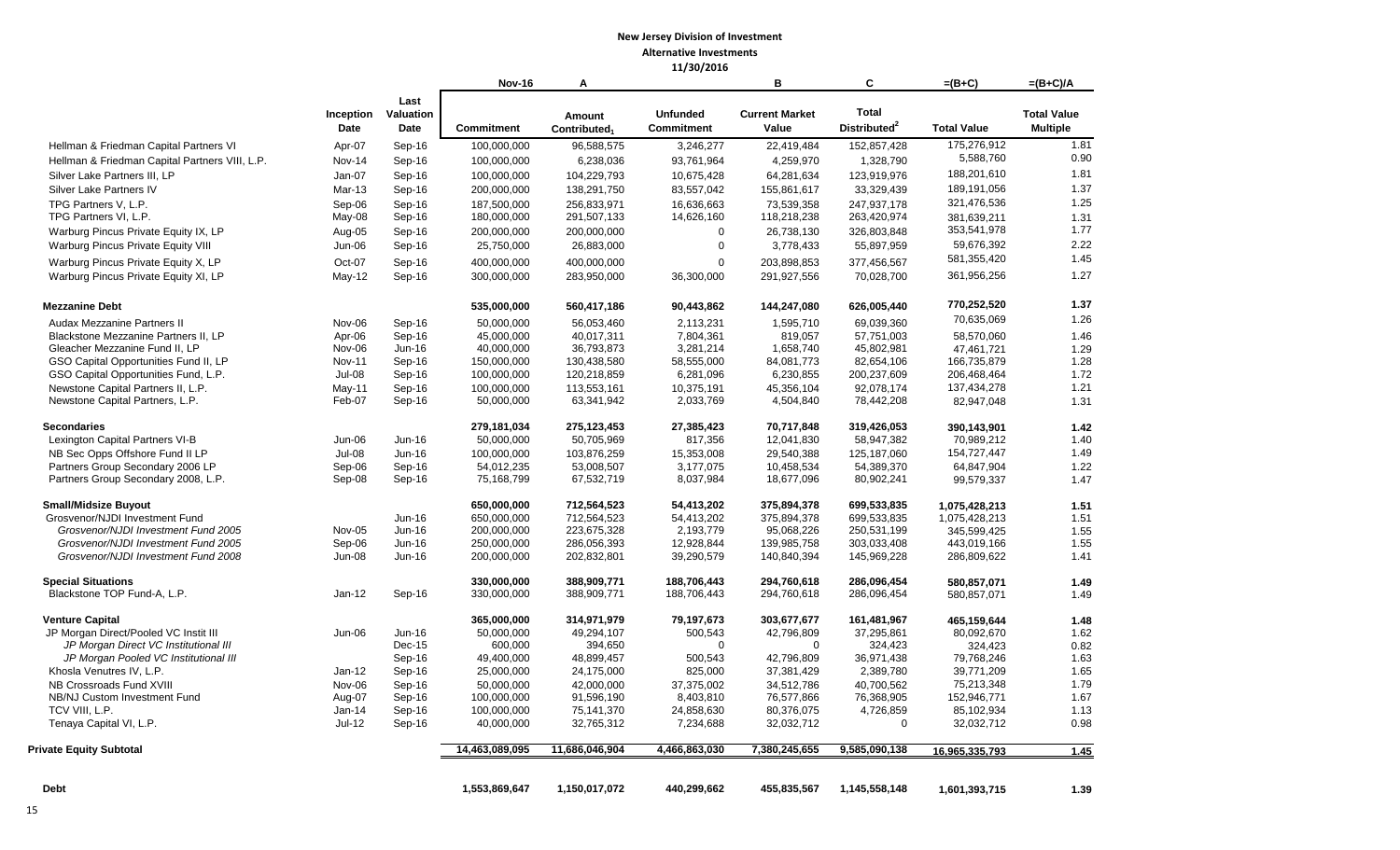|                                                |                    |                           | <b>Nov-16</b>             | A                                  |                               | B                              | C                                        | $=(B+C)$           | $=(B+C)/A$                            |
|------------------------------------------------|--------------------|---------------------------|---------------------------|------------------------------------|-------------------------------|--------------------------------|------------------------------------------|--------------------|---------------------------------------|
|                                                | Inception<br>Date  | Last<br>Valuation<br>Date | <b>Commitment</b>         | Amount<br>Contributed <sub>1</sub> | <b>Unfunded</b><br>Commitment | <b>Current Market</b><br>Value | <b>Total</b><br>Distributed <sup>2</sup> | <b>Total Value</b> | <b>Total Value</b><br><b>Multiple</b> |
| Hellman & Friedman Capital Partners VI         | Apr-07             | Sep-16                    | 100.000.000               | 96,588,575                         | 3,246,277                     | 22.419.484                     | 152,857,428                              | 175,276,912        | 1.81                                  |
| Hellman & Friedman Capital Partners VIII, L.P. | Nov-14             | Sep-16                    | 100,000,000               | 6,238,036                          | 93,761,964                    | 4,259,970                      | 1,328,790                                | 5,588,760          | 0.90                                  |
| Silver Lake Partners III, LP                   | Jan-07             | Sep-16                    | 100,000,000               | 104,229,793                        | 10,675,428                    | 64,281,634                     | 123,919,976                              | 188,201,610        | 1.81                                  |
| Silver Lake Partners IV                        | Mar-13             | Sep-16                    | 200,000,000               | 138,291,750                        | 83,557,042                    | 155,861,617                    | 33,329,439                               | 189,191,056        | 1.37                                  |
| TPG Partners V, L.P.                           | Sep-06             | Sep-16                    | 187,500,000               | 256,833,971                        | 16,636,663                    | 73,539,358                     | 247,937,178                              | 321,476,536        | 1.25                                  |
| TPG Partners VI, L.P.                          | May-08             | Sep-16                    | 180,000,000               | 291,507,133                        | 14,626,160                    | 118,218,238                    | 263,420,974                              | 381,639,211        | 1.31                                  |
| Warburg Pincus Private Equity IX, LP           | Aug-05             | Sep-16                    | 200,000,000               | 200,000,000                        | 0                             | 26,738,130                     | 326,803,848                              | 353,541,978        | 1.77                                  |
| Warburg Pincus Private Equity VIII             | Jun-06             | Sep-16                    | 25,750,000                | 26,883,000                         | $\mathbf 0$                   | 3,778,433                      | 55,897,959                               | 59,676,392         | 2.22                                  |
| Warburg Pincus Private Equity X, LP            | Oct-07             | Sep-16                    | 400,000,000               | 400,000,000                        | $\Omega$                      | 203.898.853                    | 377,456,567                              | 581,355,420        | 1.45                                  |
| Warburg Pincus Private Equity XI, LP           | May-12             | Sep-16                    | 300,000,000               | 283,950,000                        | 36,300,000                    | 291,927,556                    | 70,028,700                               | 361,956,256        | 1.27                                  |
| <b>Mezzanine Debt</b>                          |                    |                           | 535,000,000               | 560,417,186                        | 90,443,862                    | 144,247,080                    | 626,005,440                              | 770,252,520        | 1.37                                  |
| Audax Mezzanine Partners II                    | Nov-06             | Sep-16                    | 50,000,000                | 56,053,460                         | 2,113,231                     | 1,595,710                      | 69.039.360                               | 70,635,069         | 1.26                                  |
| Blackstone Mezzanine Partners II. LP           | Apr-06             | Sep-16                    | 45.000.000                | 40,017,311                         | 7,804,361                     | 819,057                        | 57,751,003                               | 58,570,060         | 1.46                                  |
| Gleacher Mezzanine Fund II, LP                 | Nov-06             | Jun-16                    | 40,000,000                | 36,793,873                         | 3,281,214                     | 1,658,740                      | 45,802,981                               | 47,461,721         | 1.29                                  |
| GSO Capital Opportunities Fund II, LP          | <b>Nov-11</b>      | Sep-16                    | 150,000,000               | 130,438,580                        | 58,555,000                    | 84,081,773                     | 82,654,106                               | 166,735,879        | 1.28                                  |
| GSO Capital Opportunities Fund, L.P.           | Jul-08             | Sep-16                    | 100,000,000               | 120,218,859                        | 6,281,096                     | 6,230,855                      | 200,237,609                              | 206,468,464        | 1.72                                  |
| Newstone Capital Partners II, L.P.             | $May-11$           | Sep-16                    | 100,000,000               | 113,553,161                        | 10,375,191                    | 45,356,104                     | 92,078,174                               | 137,434,278        | 1.21                                  |
| Newstone Capital Partners, L.P.                | Feb-07             | Sep-16                    | 50,000,000                | 63,341,942                         | 2,033,769                     | 4,504,840                      | 78,442,208                               | 82,947,048         | 1.31                                  |
| <b>Secondaries</b>                             |                    |                           | 279,181,034               | 275,123,453                        | 27,385,423                    | 70,717,848                     | 319,426,053                              | 390.143.901        | 1.42                                  |
| Lexington Capital Partners VI-B                | Jun-06             | Jun-16                    | 50,000,000                | 50,705,969                         | 817,356                       | 12,041,830                     | 58,947,382                               | 70,989,212         | 1.40                                  |
| NB Sec Opps Offshore Fund II LP                | $Jul-08$           | Jun-16                    | 100,000,000               | 103,876,259                        | 15,353,008                    | 29,540,388                     | 125,187,060                              | 154,727,447        | 1.49                                  |
| Partners Group Secondary 2006 LP               | Sep-06             | Sep-16                    | 54,012,235                | 53,008,507                         | 3,177,075                     | 10,458,534                     | 54,389,370                               | 64,847,904         | 1.22                                  |
| Partners Group Secondary 2008, L.P.            | Sep-08             | Sep-16                    | 75,168,799                | 67,532,719                         | 8,037,984                     | 18,677,096                     | 80,902,241                               | 99,579,337         | 1.47                                  |
| <b>Small/Midsize Buyout</b>                    |                    |                           | 650,000,000               | 712,564,523                        | 54,413,202                    | 375,894,378                    | 699,533,835                              | 1,075,428,213      | 1.51                                  |
| Grosvenor/NJDI Investment Fund                 |                    | Jun-16                    | 650,000,000               | 712,564,523                        | 54,413,202                    | 375,894,378                    | 699,533,835                              | 1,075,428,213      | 1.51                                  |
| Grosvenor/NJDI Investment Fund 2005            | Nov-05             | Jun-16                    | 200,000,000               | 223,675,328                        | 2,193,779                     | 95,068,226                     | 250,531,199                              | 345,599,425        | 1.55                                  |
| Grosvenor/NJDI Investment Fund 2005            | Sep-06             | Jun-16                    | 250,000,000               | 286,056,393                        | 12,928,844                    | 139,985,758                    | 303,033,408                              | 443,019,166        | 1.55                                  |
| Grosvenor/NJDI Investment Fund 2008            | <b>Jun-08</b>      | Jun-16                    | 200,000,000               | 202,832,801                        | 39,290,579                    | 140,840,394                    | 145,969,228                              | 286,809,622        | 1.41                                  |
| <b>Special Situations</b>                      |                    |                           | 330,000,000               | 388,909,771                        | 188,706,443                   | 294,760,618                    | 286,096,454                              | 580,857,071        | 1.49                                  |
| Blackstone TOP Fund-A, L.P.                    | $Jan-12$           | Sep-16                    | 330,000,000               | 388,909,771                        | 188,706,443                   | 294,760,618                    | 286,096,454                              | 580,857,071        | 1.49                                  |
| <b>Venture Capital</b>                         |                    |                           | 365,000,000               | 314,971,979                        | 79,197,673                    | 303,677,677                    | 161,481,967                              | 465,159,644        | 1.48                                  |
| JP Morgan Direct/Pooled VC Instit III          | Jun-06             | Jun-16                    | 50,000,000                | 49,294,107                         | 500,543                       | 42,796,809                     | 37,295,861                               | 80,092,670         | 1.62                                  |
| JP Morgan Direct VC Institutional III          |                    | Dec-15                    | 600,000                   | 394,650                            | $\mathbf 0$                   | $\mathbf{0}$                   | 324,423                                  | 324,423            | 0.82                                  |
| JP Morgan Pooled VC Institutional III          |                    | Sep-16                    | 49,400,000                | 48,899,457                         | 500,543                       | 42,796,809                     | 36,971,438                               | 79,768,246         | 1.63                                  |
| Khosla Venutres IV, L.P.                       | $Jan-12$           | Sep-16                    | 25,000,000                | 24,175,000                         | 825,000                       | 37,381,429                     | 2,389,780                                | 39,771,209         | 1.65                                  |
| NB Crossroads Fund XVIII                       | Nov-06             | Sep-16                    | 50,000,000                | 42,000,000                         | 37,375,002                    | 34,512,786                     | 40,700,562                               | 75,213,348         | 1.79                                  |
| NB/NJ Custom Investment Fund                   | Aug-07             | Sep-16                    | 100,000,000               | 91,596,190                         | 8,403,810                     | 76,577,866                     | 76,368,905                               | 152,946,771        | 1.67                                  |
| TCV VIII, L.P.<br>Tenaya Capital VI, L.P.      | Jan-14<br>$Jul-12$ | Sep-16<br>Sep-16          | 100,000,000<br>40,000,000 | 75,141,370<br>32,765,312           | 24,858,630<br>7,234,688       | 80,376,075<br>32,032,712       | 4,726,859<br>0                           | 85,102,934         | 1.13<br>0.98                          |
|                                                |                    |                           |                           |                                    |                               |                                |                                          | 32,032,712         |                                       |
| <b>Private Equity Subtotal</b>                 |                    |                           | 14,463,089,095            | 11,686,046,904                     | 4,466,863,030                 | 7,380,245,655                  | 9,585,090,138                            | 16,965,335,793     | 1.45                                  |
| <b>Debt</b>                                    |                    |                           | 1,553,869,647             | 1,150,017,072                      | 440,299,662                   | 455,835,567                    | 1,145,558,148                            | 1,601,393,715      | 1.39                                  |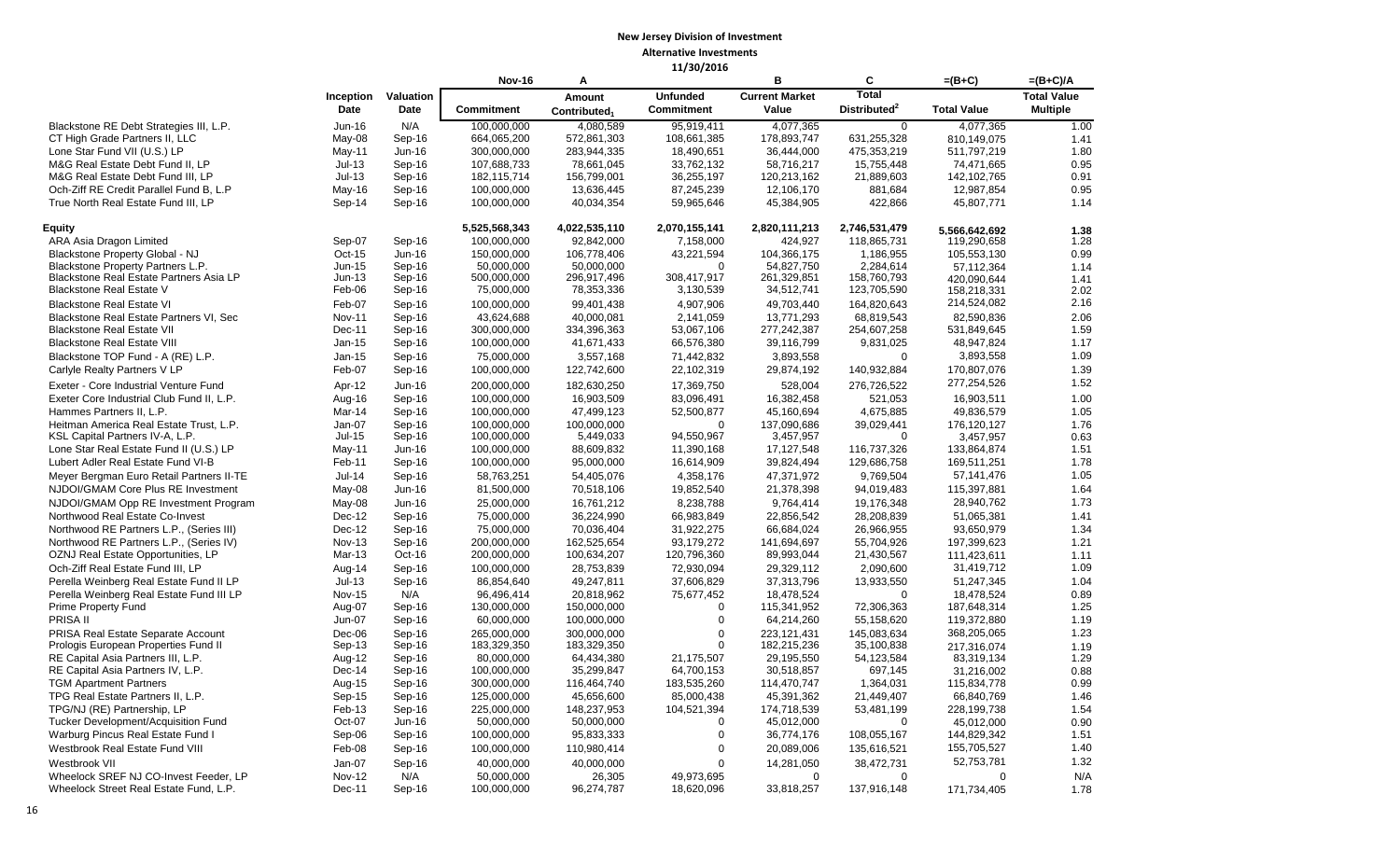|                                           |               |           | <b>Nov-16</b>     | Α                        |                   | B                     | C                        | $=(B+C)$           | $=(B+C)/A$         |
|-------------------------------------------|---------------|-----------|-------------------|--------------------------|-------------------|-----------------------|--------------------------|--------------------|--------------------|
|                                           | Inception     | Valuation |                   | Amount                   | <b>Unfunded</b>   | <b>Current Market</b> | <b>Total</b>             |                    | <b>Total Value</b> |
|                                           | Date          | Date      | <b>Commitment</b> | Contributed <sub>1</sub> | <b>Commitment</b> | Value                 | Distributed <sup>2</sup> | <b>Total Value</b> | <b>Multiple</b>    |
| Blackstone RE Debt Strategies III, L.P.   | Jun-16        | N/A       | 100,000,000       | 4,080,589                | 95,919,411        | 4,077,365             | $\mathbf{0}$             | 4,077,365          | 1.00               |
| CT High Grade Partners II, LLC            | May-08        | Sep-16    | 664,065,200       | 572,861,303              | 108,661,385       | 178,893,747           | 631,255,328              | 810,149,075        | 1.41               |
| Lone Star Fund VII (U.S.) LP              | $May-11$      | Jun-16    | 300,000,000       | 283,944,335              | 18,490,651        | 36,444,000            | 475,353,219              | 511,797,219        | 1.80               |
| M&G Real Estate Debt Fund II, LP          | $Jul-13$      | Sep-16    | 107,688,733       | 78,661,045               | 33,762,132        | 58,716,217            | 15,755,448               | 74,471,665         | 0.95               |
| M&G Real Estate Debt Fund III, LP         | $Jul-13$      | Sep-16    | 182,115,714       | 156,799,001              | 36,255,197        | 120,213,162           | 21,889,603               | 142,102,765        | 0.91               |
| Och-Ziff RE Credit Parallel Fund B, L.P   | May-16        | Sep-16    | 100,000,000       | 13,636,445               | 87,245,239        | 12,106,170            | 881,684                  | 12,987,854         | 0.95               |
| True North Real Estate Fund III, LP       | Sep-14        | Sep-16    | 100,000,000       | 40,034,354               | 59,965,646        | 45,384,905            | 422,866                  | 45,807,771         | 1.14               |
| <b>Equity</b>                             |               |           | 5,525,568,343     | 4,022,535,110            | 2,070,155,141     | 2,820,111,213         | 2,746,531,479            | 5.566.642.692      | 1.38               |
| ARA Asia Dragon Limited                   | Sep-07        | Sep-16    | 100,000,000       | 92,842,000               | 7,158,000         | 424,927               | 118,865,731              | 119,290,658        | 1.28               |
| Blackstone Property Global - NJ           | Oct-15        | $Jun-16$  | 150,000,000       | 106,778,406              | 43,221,594        | 104,366,175           | 1,186,955                | 105,553,130        | 0.99               |
| Blackstone Property Partners L.P.         | <b>Jun-15</b> | Sep-16    | 50.000.000        | 50,000,000               | $\Omega$          | 54,827,750            | 2,284,614                | 57,112,364         | 1.14               |
| Blackstone Real Estate Partners Asia LP   | $Jun-13$      | Sep-16    | 500,000,000       | 296,917,496              | 308,417,917       | 261,329,851           | 158,760,793              | 420,090,644        | 1.41               |
| <b>Blackstone Real Estate V</b>           | Feb-06        | Sep-16    | 75,000,000        | 78,353,336               | 3,130,539         | 34,512,741            | 123,705,590              | 158,218,331        | 2.02               |
| <b>Blackstone Real Estate VI</b>          | Feb-07        | Sep-16    | 100,000,000       | 99,401,438               | 4,907,906         | 49,703,440            | 164,820,643              | 214,524,082        | 2.16               |
| Blackstone Real Estate Partners VI, Sec   | <b>Nov-11</b> | Sep-16    | 43,624,688        | 40,000,081               | 2,141,059         | 13,771,293            | 68,819,543               | 82.590.836         | 2.06               |
| <b>Blackstone Real Estate VII</b>         | Dec-11        | Sep-16    | 300,000,000       | 334,396,363              | 53,067,106        | 277,242,387           | 254,607,258              | 531,849,645        | 1.59               |
| <b>Blackstone Real Estate VIII</b>        | Jan-15        | Sep-16    | 100,000,000       | 41,671,433               | 66,576,380        | 39,116,799            | 9,831,025                | 48,947,824         | 1.17               |
| Blackstone TOP Fund - A (RE) L.P.         | Jan-15        | Sep-16    | 75,000,000        | 3,557,168                | 71,442,832        | 3,893,558             | $\mathbf 0$              | 3,893,558          | 1.09               |
| Carlyle Realty Partners V LP              | Feb-07        | Sep-16    | 100,000,000       | 122,742,600              | 22,102,319        | 29,874,192            | 140,932,884              | 170,807,076        | 1.39               |
| Exeter - Core Industrial Venture Fund     | Apr-12        | Jun-16    | 200,000,000       | 182,630,250              | 17,369,750        | 528,004               | 276,726,522              | 277,254,526        | 1.52               |
| Exeter Core Industrial Club Fund II, L.P. | Aug-16        | Sep-16    | 100,000,000       | 16,903,509               | 83,096,491        | 16,382,458            | 521,053                  | 16,903,511         | 1.00               |
| Hammes Partners II, L.P.                  | Mar-14        | Sep-16    | 100,000,000       | 47,499,123               | 52,500,877        | 45,160,694            | 4,675,885                | 49,836,579         | 1.05               |
| Heitman America Real Estate Trust, L.P.   | Jan-07        | Sep-16    | 100,000,000       | 100,000,000              | $\Omega$          | 137,090,686           |                          | 176,120,127        | 1.76               |
| KSL Capital Partners IV-A, L.P.           | $Jul-15$      | Sep-16    | 100,000,000       | 5,449,033                | 94,550,967        | 3,457,957             | 39,029,441<br>$\Omega$   | 3,457,957          | 0.63               |
| Lone Star Real Estate Fund II (U.S.) LP   | $May-11$      | Jun-16    | 100,000,000       | 88,609,832               | 11,390,168        | 17,127,548            | 116,737,326              | 133,864,874        | 1.51               |
| Lubert Adler Real Estate Fund VI-B        | Feb-11        | Sep-16    | 100,000,000       | 95,000,000               | 16,614,909        | 39,824,494            | 129,686,758              | 169,511,251        | 1.78               |
| Meyer Bergman Euro Retail Partners II-TE  | $Jul-14$      | Sep-16    | 58,763,251        | 54,405,076               | 4,358,176         | 47,371,972            | 9,769,504                | 57,141,476         | 1.05               |
| NJDOI/GMAM Core Plus RE Investment        |               | Jun-16    | 81,500,000        | 70,518,106               | 19,852,540        | 21,378,398            | 94,019,483               | 115,397,881        | 1.64               |
|                                           | May-08        |           |                   |                          |                   |                       |                          |                    | 1.73               |
| NJDOI/GMAM Opp RE Investment Program      | May-08        | Jun-16    | 25,000,000        | 16,761,212               | 8,238,788         | 9,764,414             | 19,176,348               | 28,940,762         |                    |
| Northwood Real Estate Co-Invest           | $Dec-12$      | Sep-16    | 75,000,000        | 36,224,990               | 66,983,849        | 22,856,542            | 28,208,839               | 51,065,381         | 1.41               |
| Northwood RE Partners L.P., (Series III)  | $Dec-12$      | Sep-16    | 75,000,000        | 70,036,404               | 31,922,275        | 66,684,024            | 26,966,955               | 93,650,979         | 1.34               |
| Northwood RE Partners L.P., (Series IV)   | <b>Nov-13</b> | Sep-16    | 200,000,000       | 162,525,654              | 93,179,272        | 141,694,697           | 55,704,926               | 197,399,623        | 1.21               |
| OZNJ Real Estate Opportunities, LP        | Mar-13        | Oct-16    | 200,000,000       | 100,634,207              | 120,796,360       | 89,993,044            | 21,430,567               | 111,423,611        | 1.11               |
| Och-Ziff Real Estate Fund III, LP         | Aug-14        | Sep-16    | 100,000,000       | 28,753,839               | 72,930,094        | 29,329,112            | 2,090,600                | 31,419,712         | 1.09               |
| Perella Weinberg Real Estate Fund II LP   | $Jul-13$      | Sep-16    | 86,854,640        | 49,247,811               | 37,606,829        | 37,313,796            | 13,933,550               | 51,247,345         | 1.04               |
| Perella Weinberg Real Estate Fund III LP  | <b>Nov-15</b> | N/A       | 96,496,414        | 20,818,962               | 75,677,452        | 18,478,524            | $\mathbf 0$              | 18,478,524         | 0.89               |
| <b>Prime Property Fund</b>                | Aug-07        | Sep-16    | 130,000,000       | 150,000,000              | $\Omega$          | 115,341,952           | 72,306,363               | 187,648,314        | 1.25               |
| PRISA II                                  | Jun-07        | Sep-16    | 60,000,000        | 100,000,000              | $\Omega$          | 64,214,260            | 55,158,620               | 119,372,880        | 1.19               |
| PRISA Real Estate Separate Account        | Dec-06        | Sep-16    | 265,000,000       | 300,000,000              | $\overline{0}$    | 223,121,431           | 145,083,634              | 368,205,065        | 1.23               |
| Prologis European Properties Fund II      | Sep-13        | Sep-16    | 183,329,350       | 183,329,350              | $\Omega$          | 182,215,236           | 35,100,838               | 217,316,074        | 1.19               |
| RE Capital Asia Partners III, L.P.        | Aug-12        | Sep-16    | 80,000,000        | 64,434,380               | 21,175,507        | 29,195,550            | 54,123,584               | 83,319,134         | 1.29               |
| RE Capital Asia Partners IV, L.P.         | Dec-14        | Sep-16    | 100,000,000       | 35,299,847               | 64,700,153        | 30,518,857            | 697,145                  | 31,216,002         | 0.88               |
| <b>TGM Apartment Partners</b>             | Aug-15        | Sep-16    | 300,000,000       | 116,464,740              | 183,535,260       | 114,470,747           | 1,364,031                | 115,834,778        | 0.99               |
| TPG Real Estate Partners II, L.P.         | Sep-15        | Sep-16    | 125,000,000       | 45,656,600               | 85,000,438        | 45,391,362            | 21,449,407               | 66,840,769         | 1.46               |
| TPG/NJ (RE) Partnership, LP               | Feb-13        | Sep-16    | 225,000,000       | 148,237,953              | 104,521,394       | 174,718,539           | 53,481,199               | 228,199,738        | 1.54               |
| Tucker Development/Acquisition Fund       | Oct-07        | $Jun-16$  | 50,000,000        | 50,000,000               | $\Omega$          | 45,012,000            | $\mathbf 0$              | 45,012,000         | 0.90               |
| Warburg Pincus Real Estate Fund I         | Sep-06        | Sep-16    | 100,000,000       | 95,833,333               | 0                 | 36,774,176            | 108,055,167              | 144,829,342        | 1.51               |
| Westbrook Real Estate Fund VIII           | Feb-08        | Sep-16    | 100,000,000       | 110,980,414              | 0                 | 20,089,006            | 135,616,521              | 155,705,527        | 1.40               |
| Westbrook VII                             | $Jan-07$      | Sep-16    | 40,000,000        | 40,000,000               | $\Omega$          | 14,281,050            | 38,472,731               | 52,753,781         | 1.32               |
| Wheelock SREF NJ CO-Invest Feeder, LP     | <b>Nov-12</b> | N/A       | 50,000,000        | 26,305                   | 49,973,695        | $\Omega$              | $\Omega$                 | $\Omega$           | N/A                |
| Wheelock Street Real Estate Fund, L.P.    | Dec-11        | Sep-16    | 100,000,000       | 96,274,787               | 18,620,096        | 33,818,257            | 137,916,148              | 171,734,405        | 1.78               |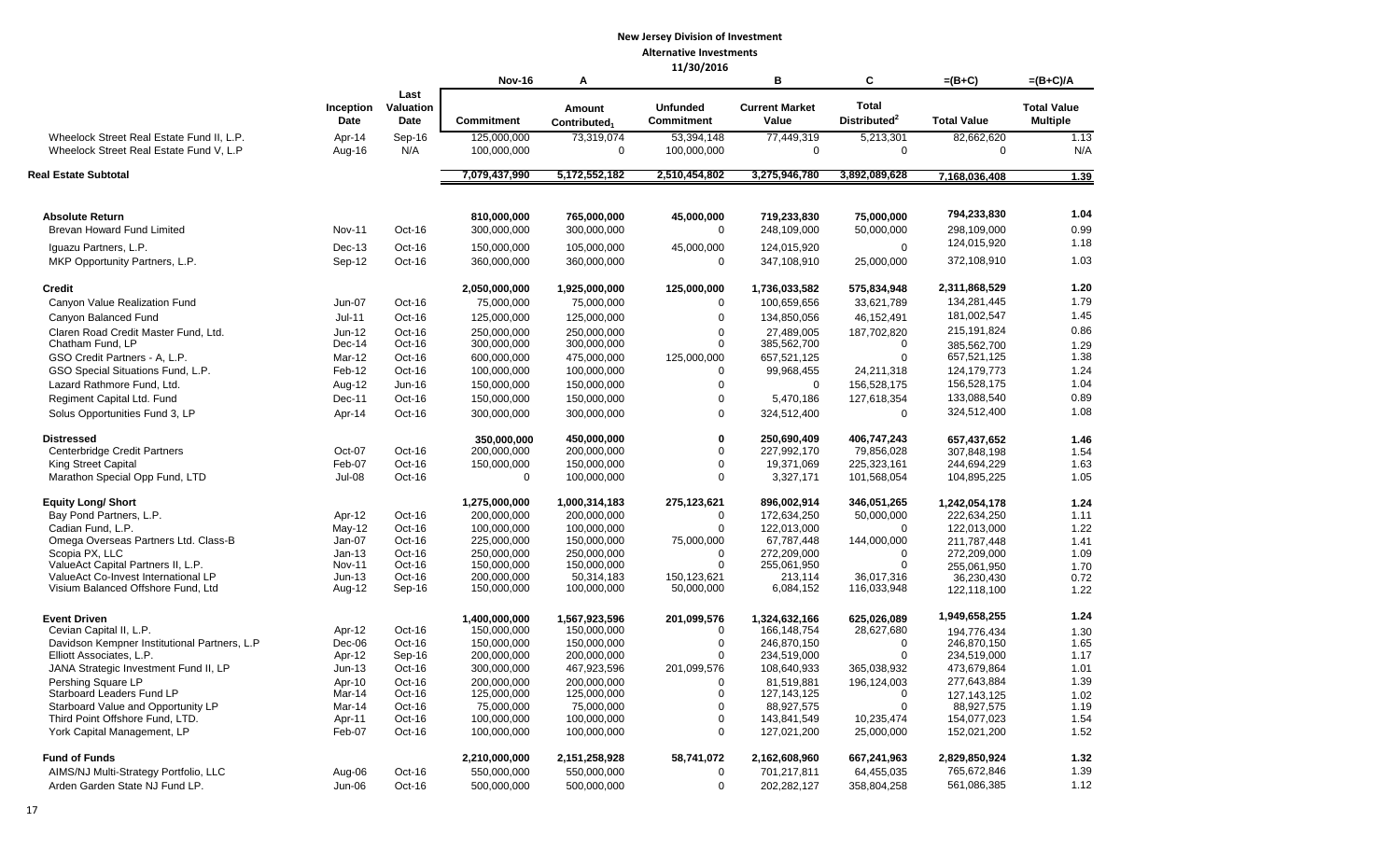|                                                                                      |                    |                           |                            |                                    | 11/30/2010                           |                                |                                          |                            |                                       |
|--------------------------------------------------------------------------------------|--------------------|---------------------------|----------------------------|------------------------------------|--------------------------------------|--------------------------------|------------------------------------------|----------------------------|---------------------------------------|
|                                                                                      |                    |                           | <b>Nov-16</b>              | A                                  |                                      | в                              | С                                        | =(B+C)                     | $=(B+C)/A$                            |
|                                                                                      | Inception<br>Date  | Last<br>Valuation<br>Date | <b>Commitment</b>          | Amount<br>Contributed <sub>1</sub> | <b>Unfunded</b><br><b>Commitment</b> | <b>Current Market</b><br>Value | <b>Total</b><br>Distributed <sup>2</sup> | <b>Total Value</b>         | <b>Total Value</b><br><b>Multiple</b> |
| Wheelock Street Real Estate Fund II, L.P.<br>Wheelock Street Real Estate Fund V. L.P | Apr-14<br>Aug-16   | Sep-16<br>N/A             | 125,000,000<br>100,000,000 | 73,319,074<br>0                    | 53,394,148<br>100,000,000            | 77,449,319<br>0                | 5,213,301<br>0                           | 82,662,620<br>$\mathbf 0$  | 1.13<br>N/A                           |
| Real Estate Subtotal                                                                 |                    |                           | 7,079,437,990              | 5,172,552,182                      | 2,510,454,802                        | 3,275,946,780                  | 3,892,089,628                            | 7,168,036,408              | 1.39                                  |
| <b>Absolute Return</b>                                                               |                    |                           | 810.000.000                | 765,000,000                        | 45,000,000                           | 719,233,830                    | 75,000,000                               | 794,233,830                | 1.04                                  |
| <b>Brevan Howard Fund Limited</b>                                                    | <b>Nov-11</b>      | Oct-16                    | 300,000,000                | 300,000,000                        | $\Omega$                             | 248,109,000                    | 50,000,000                               | 298,109,000<br>124,015,920 | 0.99<br>1.18                          |
| Iguazu Partners, L.P.<br>MKP Opportunity Partners, L.P.                              | Dec-13<br>Sep-12   | Oct-16<br>Oct-16          | 150,000,000<br>360,000,000 | 105,000,000<br>360,000,000         | 45,000,000<br>$\mathbf 0$            | 124,015,920<br>347,108,910     | $\mathbf 0$<br>25,000,000                | 372,108,910                | 1.03                                  |
| <b>Credit</b>                                                                        |                    |                           | 2,050,000,000              | 1,925,000,000                      | 125,000,000                          | 1,736,033,582                  | 575,834,948                              | 2,311,868,529              | 1.20                                  |
| Canyon Value Realization Fund                                                        | Jun-07             | Oct-16                    | 75,000,000                 | 75,000,000                         | 0                                    | 100,659,656                    | 33,621,789                               | 134,281,445                | 1.79                                  |
| Canyon Balanced Fund                                                                 | $Jul-11$           | Oct-16                    | 125,000,000                | 125,000,000                        | $\mathbf 0$                          | 134,850,056                    | 46,152,491                               | 181,002,547                | 1.45                                  |
| Claren Road Credit Master Fund, Ltd.                                                 | Jun-12             | Oct-16                    | 250,000,000                | 250,000,000                        | $\mathbf 0$                          | 27,489,005                     | 187,702,820                              | 215, 191, 824              | 0.86                                  |
| Chatham Fund. LP                                                                     | Dec-14             | Oct-16                    | 300,000,000                | 300,000,000                        | 0                                    | 385,562,700                    | 0                                        | 385,562,700                | 1.29                                  |
| GSO Credit Partners - A, L.P.                                                        | Mar-12             | Oct-16                    | 600,000,000                | 475,000,000                        | 125,000,000                          | 657,521,125                    | 0                                        | 657,521,125                | 1.38                                  |
| GSO Special Situations Fund, L.P.                                                    | Feb-12             | Oct-16                    | 100,000,000                | 100,000,000                        | 0                                    | 99,968,455                     | 24,211,318                               | 124, 179, 773              | 1.24                                  |
| Lazard Rathmore Fund, Ltd.                                                           | Aug-12             | Jun-16                    | 150,000,000                | 150,000,000                        | 0                                    | 0                              | 156,528,175                              | 156,528,175                | 1.04                                  |
| Regiment Capital Ltd. Fund                                                           | Dec-11             | Oct-16                    | 150,000,000                | 150,000,000                        | 0                                    | 5,470,186                      | 127,618,354                              | 133,088,540                | 0.89                                  |
| Solus Opportunities Fund 3, LP                                                       | Apr-14             | Oct-16                    | 300,000,000                | 300,000,000                        | $\mathbf 0$                          | 324,512,400                    | $\mathbf 0$                              | 324,512,400                | 1.08                                  |
| <b>Distressed</b>                                                                    |                    |                           | 350,000,000                | 450,000,000                        | 0                                    | 250,690,409                    | 406,747,243                              | 657,437,652                | 1.46                                  |
| Centerbridge Credit Partners<br><b>King Street Capital</b>                           | Oct-07             | Oct-16                    | 200,000,000<br>150,000,000 | 200,000,000<br>150,000,000         | 0<br>$\mathbf 0$                     | 227,992,170<br>19,371,069      | 79.856.028<br>225,323,161                | 307.848.198                | 1.54                                  |
| Marathon Special Opp Fund, LTD                                                       | Feb-07<br>Jul-08   | Oct-16<br>Oct-16          | 0                          | 100,000,000                        | $\mathbf 0$                          | 3,327,171                      | 101,568,054                              | 244,694,229<br>104,895,225 | 1.63<br>1.05                          |
| <b>Equity Long/ Short</b>                                                            |                    |                           | 1,275,000,000              | 1,000,314,183                      | 275,123,621                          | 896,002,914                    | 346,051,265                              | 1,242,054,178              | 1.24                                  |
| Bay Pond Partners, L.P.                                                              | Apr-12             | Oct-16                    | 200,000,000                | 200,000,000                        | $\mathbf 0$                          | 172,634,250                    | 50,000,000                               | 222,634,250                | 1.11                                  |
| Cadian Fund, L.P.                                                                    | May-12             | Oct-16                    | 100,000,000                | 100,000,000                        | $\Omega$                             | 122,013,000                    | 0                                        | 122,013,000                | 1.22                                  |
| Omega Overseas Partners Ltd. Class-B                                                 | Jan-07             | Oct-16                    | 225,000,000                | 150,000,000                        | 75,000,000                           | 67,787,448                     | 144,000,000                              | 211,787,448                | 1.41                                  |
| Scopia PX, LLC<br>ValueAct Capital Partners II, L.P.                                 | $Jan-13$<br>Nov-11 | Oct-16<br>Oct-16          | 250,000,000<br>150,000,000 | 250,000,000<br>150,000,000         | $\mathbf 0$<br>$\Omega$              | 272,209,000<br>255,061,950     | $\Omega$<br>$\Omega$                     | 272,209,000<br>255,061,950 | 1.09<br>1.70                          |
| ValueAct Co-Invest International LP                                                  | $Jun-13$           | Oct-16                    | 200,000,000                | 50,314,183                         | 150,123,621                          | 213,114                        | 36,017,316                               | 36,230,430                 | 0.72                                  |
| Visium Balanced Offshore Fund, Ltd                                                   | Aug-12             | Sep-16                    | 150,000,000                | 100,000,000                        | 50,000,000                           | 6,084,152                      | 116,033,948                              | 122,118,100                | 1.22                                  |
| <b>Event Driven</b>                                                                  |                    |                           | 1,400,000,000              | 1,567,923,596                      | 201,099,576                          | 1,324,632,166                  | 625.026.089                              | 1,949,658,255              | 1.24                                  |
| Cevian Capital II, L.P.                                                              | Apr-12             | Oct-16                    | 150,000,000                | 150,000,000                        | $\Omega$                             | 166,148,754                    | 28,627,680                               | 194.776.434                | 1.30                                  |
| Davidson Kempner Institutional Partners, L.P                                         | Dec-06             | Oct-16                    | 150,000,000                | 150,000,000                        | $\mathbf 0$                          | 246,870,150                    | 0                                        | 246,870,150                | 1.65                                  |
| Elliott Associates, L.P.<br>JANA Strategic Investment Fund II, LP                    | Apr-12<br>$Jun-13$ | Sep-16<br>Oct-16          | 200,000,000<br>300,000,000 | 200,000,000<br>467,923,596         | $\Omega$<br>201,099,576              | 234,519,000<br>108,640,933     | $\mathbf 0$<br>365,038,932               | 234,519,000<br>473,679,864 | 1.17<br>1.01                          |
| Pershing Square LP                                                                   | Apr-10             | Oct-16                    | 200,000,000                | 200,000,000                        | $\Omega$                             | 81,519,881                     | 196,124,003                              | 277,643,884                | 1.39                                  |
| Starboard Leaders Fund LP                                                            | Mar-14             | $Oct-16$                  | 125,000,000                | 125,000,000                        | 0                                    | 127,143,125                    | 0                                        | 127,143,125                | 1.02                                  |
| Starboard Value and Opportunity LP                                                   | Mar-14             | Oct-16                    | 75,000,000                 | 75,000,000                         | 0                                    | 88,927,575                     | 0                                        | 88,927,575                 | 1.19                                  |
| Third Point Offshore Fund. LTD.                                                      | Apr-11             | Oct-16                    | 100,000,000                | 100,000,000                        | 0                                    | 143,841,549                    | 10,235,474                               | 154,077,023                | 1.54                                  |
| York Capital Management, LP                                                          | Feb-07             | Oct-16                    | 100,000,000                | 100,000,000                        | 0                                    | 127,021,200                    | 25,000,000                               | 152,021,200                | 1.52                                  |
| <b>Fund of Funds</b>                                                                 |                    |                           | 2,210,000,000              | 2,151,258,928                      | 58,741,072                           | 2,162,608,960                  | 667,241,963                              | 2,829,850,924              | 1.32                                  |
| AIMS/NJ Multi-Strategy Portfolio, LLC                                                | Aug-06             | Oct-16                    | 550,000,000                | 550,000,000                        | $\mathbf 0$                          | 701,217,811                    | 64,455,035                               | 765,672,846                | 1.39                                  |
| Arden Garden State NJ Fund LP.                                                       | Jun-06             | Oct-16                    | 500,000,000                | 500,000,000                        | 0                                    | 202,282,127                    | 358,804,258                              | 561,086,385                | 1.12                                  |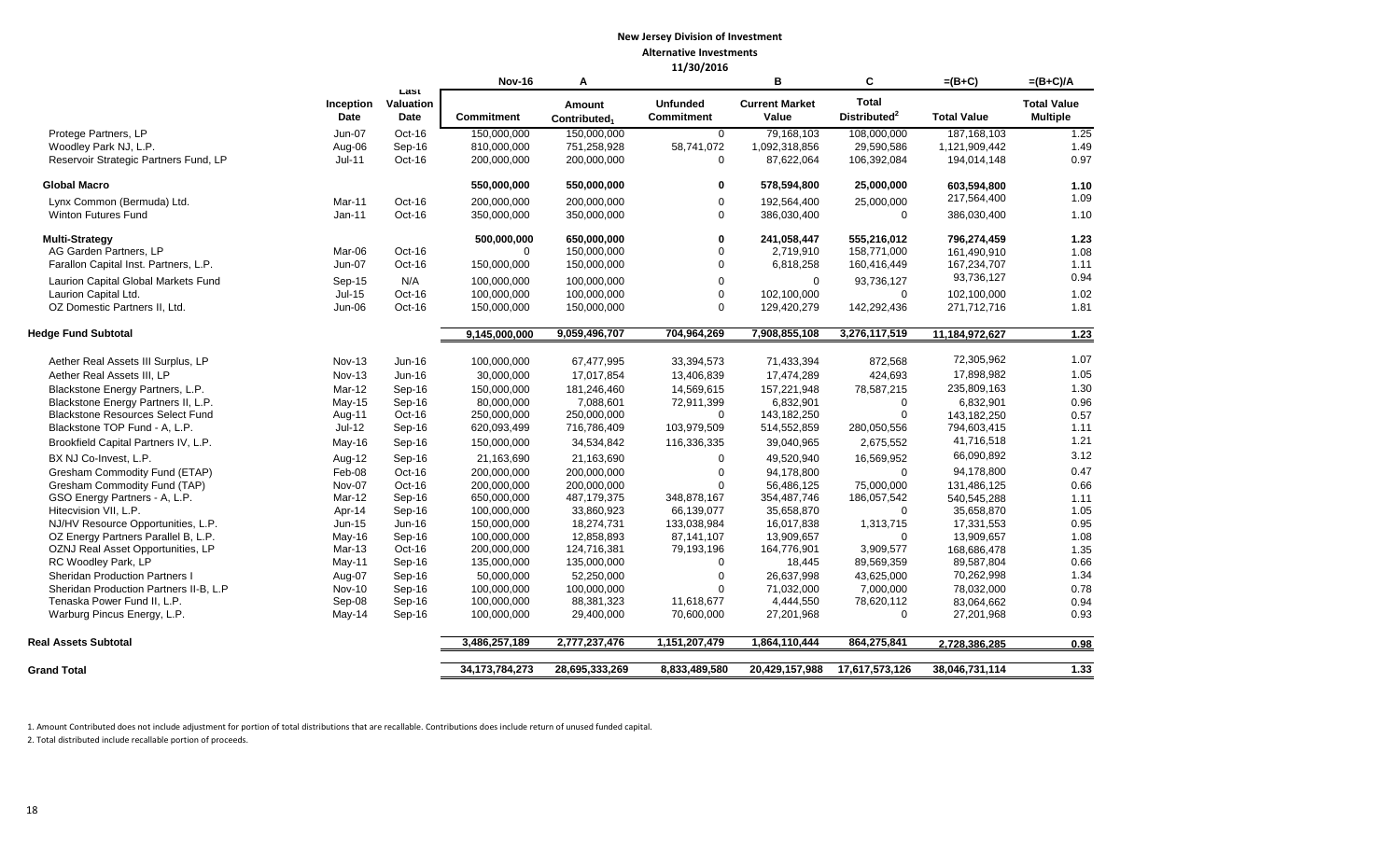|                                                          |                         |                           | <b>Nov-16</b>              | A                                  |                                      | в                              | C                                        | $=(B+C)$                 | $=(B+C)/A$                            |
|----------------------------------------------------------|-------------------------|---------------------------|----------------------------|------------------------------------|--------------------------------------|--------------------------------|------------------------------------------|--------------------------|---------------------------------------|
|                                                          | Inception<br>Date       | ∟ast<br>Valuation<br>Date | <b>Commitment</b>          | Amount<br>Contributed <sub>1</sub> | <b>Unfunded</b><br><b>Commitment</b> | <b>Current Market</b><br>Value | <b>Total</b><br>Distributed <sup>2</sup> | <b>Total Value</b>       | <b>Total Value</b><br><b>Multiple</b> |
| Protege Partners, LP                                     | <b>Jun-07</b>           | Oct-16                    | 150,000,000                | 150,000,000                        | $\Omega$                             | 79,168,103                     | 108,000,000                              | 187, 168, 103            | 1.25                                  |
| Woodley Park NJ, L.P.                                    | Aug-06                  | Sep-16                    | 810,000,000                | 751,258,928                        | 58,741,072                           | 1,092,318,856                  | 29,590,586                               | 1,121,909,442            | 1.49                                  |
| Reservoir Strategic Partners Fund, LP                    | Jul-11                  | Oct-16                    | 200,000,000                | 200,000,000                        | $\mathbf 0$                          | 87,622,064                     | 106,392,084                              | 194,014,148              | 0.97                                  |
| <b>Global Macro</b>                                      |                         |                           | 550,000,000                | 550,000,000                        | 0                                    | 578,594,800                    | 25,000,000                               | 603,594,800              | 1.10                                  |
| Lynx Common (Bermuda) Ltd.                               | Mar-11                  | Oct-16                    | 200,000,000                | 200,000,000                        | $\mathbf 0$                          | 192,564,400                    | 25,000,000                               | 217,564,400              | 1.09                                  |
| <b>Winton Futures Fund</b>                               | Jan-11                  | Oct-16                    | 350,000,000                | 350,000,000                        | $\Omega$                             | 386,030,400                    | $\mathbf 0$                              | 386,030,400              | 1.10                                  |
| <b>Multi-Strategy</b>                                    |                         |                           | 500,000,000                | 650,000,000                        | $\mathbf 0$                          | 241,058,447                    | 555,216,012                              | 796.274.459              | 1.23                                  |
| AG Garden Partners, LP                                   | Mar-06                  | Oct-16                    | 0                          | 150,000,000                        | 0                                    | 2,719,910                      | 158,771,000                              | 161,490,910              | 1.08                                  |
| Farallon Capital Inst. Partners, L.P.                    | Jun-07                  | Oct-16                    | 150,000,000                | 150,000,000                        | $\mathbf 0$                          | 6,818,258                      | 160,416,449                              | 167,234,707              | 1.11                                  |
| Laurion Capital Global Markets Fund                      | Sep-15                  | N/A                       | 100,000,000                | 100,000,000                        | $\mathbf 0$                          | $\mathbf 0$                    | 93,736,127                               | 93,736,127               | 0.94                                  |
| Laurion Capital Ltd.                                     | Jul-15                  | Oct-16                    | 100,000,000                | 100,000,000                        | $\mathbf 0$                          | 102,100,000                    | $\Omega$                                 | 102,100,000              | 1.02                                  |
| OZ Domestic Partners II, Ltd.                            | Jun-06                  | Oct-16                    | 150,000,000                | 150,000,000                        | $\mathbf 0$                          | 129,420,279                    | 142,292,436                              | 271,712,716              | 1.81                                  |
| <b>Hedge Fund Subtotal</b>                               |                         |                           | 9,145,000,000              | 9,059,496,707                      | 704,964,269                          | 7,908,855,108                  | 3,276,117,519                            | 11,184,972,627           | 1.23                                  |
|                                                          |                         |                           |                            |                                    |                                      |                                |                                          |                          |                                       |
| Aether Real Assets III Surplus, LP                       | <b>Nov-13</b>           | $Jun-16$                  | 100,000,000                | 67,477,995                         | 33,394,573                           | 71,433,394                     | 872,568                                  | 72,305,962               | 1.07                                  |
| Aether Real Assets III, LP                               | <b>Nov-13</b>           | $Jun-16$                  | 30,000,000                 | 17,017,854                         | 13,406,839                           | 17,474,289                     | 424,693                                  | 17,898,982               | 1.05                                  |
| Blackstone Energy Partners, L.P.                         | Mar-12                  | Sep-16                    | 150,000,000                | 181,246,460                        | 14,569,615                           | 157,221,948                    | 78,587,215                               | 235,809,163              | 1.30                                  |
| Blackstone Energy Partners II, L.P.                      | $May-15$                | Sep-16                    | 80,000,000                 | 7,088,601                          | 72,911,399                           | 6,832,901                      | $\Omega$                                 | 6,832,901                | 0.96                                  |
| <b>Blackstone Resources Select Fund</b>                  | Aug-11                  | Oct-16                    | 250,000,000                | 250,000,000                        | 0                                    | 143,182,250                    | $\mathbf 0$                              | 143,182,250              | 0.57                                  |
| Blackstone TOP Fund - A, L.P.                            | Jul-12                  | Sep-16                    | 620,093,499                | 716,786,409                        | 103,979,509                          | 514,552,859                    | 280,050,556                              | 794,603,415              | 1.11<br>1.21                          |
| Brookfield Capital Partners IV, L.P.                     | May-16                  | Sep-16                    | 150,000,000                | 34,534,842                         | 116,336,335                          | 39,040,965                     | 2,675,552                                | 41,716,518               |                                       |
| BX NJ Co-Invest, L.P.                                    | Aug-12                  | Sep-16                    | 21,163,690                 | 21,163,690                         | 0                                    | 49,520,940                     | 16,569,952                               | 66,090,892               | 3.12                                  |
| Gresham Commodity Fund (ETAP)                            | Feb-08                  | Oct-16                    | 200,000,000                | 200,000,000                        | $\mathbf 0$                          | 94,178,800                     | $\Omega$                                 | 94,178,800               | 0.47                                  |
| Gresham Commodity Fund (TAP)                             | Nov-07                  | Oct-16                    | 200.000.000                | 200,000,000                        | $\mathbf 0$                          | 56,486,125                     | 75,000,000                               | 131,486,125              | 0.66                                  |
| GSO Energy Partners - A, L.P.                            | Mar-12                  | Sep-16                    | 650,000,000                | 487,179,375                        | 348,878,167                          | 354,487,746                    | 186,057,542                              | 540,545,288              | 1.11                                  |
| Hitecvision VII, L.P.                                    | Apr-14                  | Sep-16                    | 100,000,000                | 33,860,923                         | 66,139,077                           | 35,658,870                     | $\mathbf 0$                              | 35,658,870               | 1.05                                  |
| NJ/HV Resource Opportunities, L.P.                       | Jun-15                  | $Jun-16$                  | 150,000,000                | 18,274,731                         | 133,038,984                          | 16,017,838                     | 1,313,715                                | 17,331,553               | 0.95                                  |
| OZ Energy Partners Parallel B, L.P.                      | May-16                  | Sep-16                    | 100,000,000                | 12,858,893                         | 87,141,107                           | 13,909,657                     | $\Omega$                                 | 13,909,657               | 1.08                                  |
| OZNJ Real Asset Opportunities, LP<br>RC Woodley Park, LP | Mar-13                  | Oct-16                    | 200,000,000<br>135,000,000 | 124,716,381<br>135,000,000         | 79,193,196<br>0                      | 164,776,901                    | 3,909,577<br>89,569,359                  | 168,686,478              | 1.35                                  |
| <b>Sheridan Production Partners I</b>                    | May-11                  | Sep-16                    | 50,000,000                 | 52,250,000                         | $\mathbf 0$                          | 18,445<br>26,637,998           | 43,625,000                               | 89,587,804<br>70,262,998 | 0.66<br>1.34                          |
| Sheridan Production Partners II-B, L.P                   | Aug-07<br><b>Nov-10</b> | Sep-16                    | 100,000,000                | 100,000,000                        | $\Omega$                             | 71,032,000                     | 7,000,000                                | 78,032,000               | 0.78                                  |
| Tenaska Power Fund II, L.P.                              | Sep-08                  | Sep-16<br>Sep-16          | 100,000,000                | 88,381,323                         | 11,618,677                           | 4,444,550                      | 78,620,112                               | 83,064,662               | 0.94                                  |
| Warburg Pincus Energy, L.P.                              | May-14                  | Sep-16                    | 100,000,000                | 29,400,000                         | 70,600,000                           | 27,201,968                     | $\mathbf 0$                              | 27,201,968               | 0.93                                  |
| <b>Real Assets Subtotal</b>                              |                         |                           | 3,486,257,189              | 2,777,237,476                      | 1,151,207,479                        | 1,864,110,444                  | 864,275,841                              | 2,728,386,285            | 0.98                                  |
|                                                          |                         |                           |                            |                                    |                                      |                                |                                          |                          |                                       |
| <b>Grand Total</b>                                       |                         |                           | 34, 173, 784, 273          | 28,695,333,269                     | 8,833,489,580                        | 20,429,157,988                 | 17,617,573,126                           | 38,046,731,114           | 1.33                                  |

1. Amount Contributed does not include adjustment for portion of total distributions that are recallable. Contributions does include return of unused funded capital.

2. Total distributed include recallable portion of proceeds.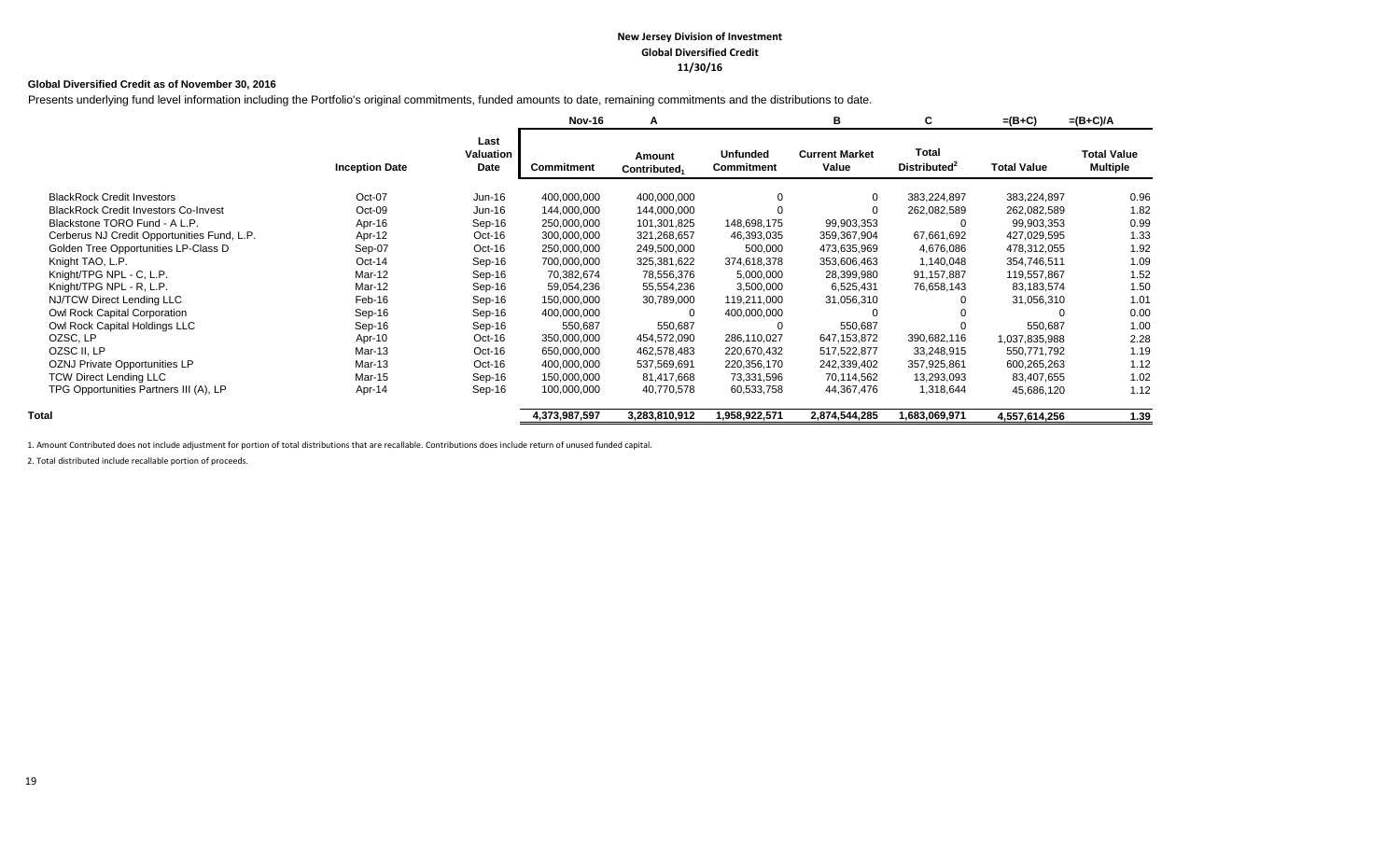#### **New Jersey Division of Investment Global Diversified Credit 11/30/16**

#### **Global Diversified Credit as of November 30, 2016**

Presents underlying fund level information including the Portfolio's original commitments, funded amounts to date, remaining commitments and the distributions to date.

|                                             |                       |                           | <b>Nov-16</b> | A                                  |                                      | в                              | C                                 | $=(B+C)$           | $=(B+C)/A$                            |
|---------------------------------------------|-----------------------|---------------------------|---------------|------------------------------------|--------------------------------------|--------------------------------|-----------------------------------|--------------------|---------------------------------------|
|                                             | <b>Inception Date</b> | Last<br>Valuation<br>Date | Commitment    | Amount<br>Contributed <sub>1</sub> | <b>Unfunded</b><br><b>Commitment</b> | <b>Current Market</b><br>Value | Total<br>Distributed <sup>2</sup> | <b>Total Value</b> | <b>Total Value</b><br><b>Multiple</b> |
| <b>BlackRock Credit Investors</b>           | Oct-07                | Jun-16                    | 400,000,000   | 400,000,000                        | $\Omega$                             |                                | 383,224,897                       | 383,224,897        | 0.96                                  |
| <b>BlackRock Credit Investors Co-Invest</b> | Oct-09                | Jun-16                    | 144,000,000   | 144,000,000                        |                                      |                                | 262,082,589                       | 262,082,589        | 1.82                                  |
| Blackstone TORO Fund - A L.P.               | Apr-16                | Sep-16                    | 250,000,000   | 101,301,825                        | 148,698,175                          | 99,903,353                     |                                   | 99,903,353         | 0.99                                  |
| Cerberus NJ Credit Opportunities Fund, L.P. | Apr-12                | Oct-16                    | 300,000,000   | 321,268,657                        | 46,393,035                           | 359,367,904                    | 67,661,692                        | 427,029,595        | 1.33                                  |
| Golden Tree Opportunities LP-Class D        | Sep-07                | Oct-16                    | 250,000,000   | 249,500,000                        | 500,000                              | 473,635,969                    | 4,676,086                         | 478,312,055        | 1.92                                  |
| Knight TAO, L.P.                            | $Oct-14$              | Sep-16                    | 700,000,000   | 325,381,622                        | 374,618,378                          | 353,606,463                    | 1,140,048                         | 354,746,511        | 1.09                                  |
| Knight/TPG NPL - C, L.P.                    | Mar-12                | Sep-16                    | 70,382,674    | 78,556,376                         | 5,000,000                            | 28,399,980                     | 91,157,887                        | 119,557,867        | 1.52                                  |
| Knight/TPG NPL - R, L.P.                    | Mar-12                | Sep-16                    | 59,054,236    | 55,554,236                         | 3,500,000                            | 6,525,431                      | 76,658,143                        | 83,183,574         | 1.50                                  |
| NJ/TCW Direct Lending LLC                   | Feb-16                | Sep-16                    | 150,000,000   | 30,789,000                         | 119,211,000                          | 31,056,310                     |                                   | 31,056,310         | 1.01                                  |
| Owl Rock Capital Corporation                | Sep-16                | Sep-16                    | 400,000,000   |                                    | 400,000,000                          |                                |                                   |                    | 0.00                                  |
| Owl Rock Capital Holdings LLC               | Sep-16                | Sep-16                    | 550,687       | 550,687                            |                                      | 550,687                        |                                   | 550,687            | 1.00                                  |
| OZSC, LP                                    | Apr-10                | Oct-16                    | 350,000,000   | 454,572,090                        | 286,110,027                          | 647,153,872                    | 390,682,116                       | 1,037,835,988      | 2.28                                  |
| OZSC II, LP                                 | Mar-13                | Oct-16                    | 650,000,000   | 462,578,483                        | 220,670,432                          | 517,522,877                    | 33,248,915                        | 550,771,792        | 1.19                                  |
| OZNJ Private Opportunities LP               | Mar-13                | Oct-16                    | 400,000,000   | 537,569,691                        | 220,356,170                          | 242,339,402                    | 357,925,861                       | 600,265,263        | 1.12                                  |
| <b>TCW Direct Lending LLC</b>               | Mar-15                | Sep-16                    | 150,000,000   | 81,417,668                         | 73,331,596                           | 70,114,562                     | 13,293,093                        | 83,407,655         | 1.02                                  |
| TPG Opportunities Partners III (A), LP      | Apr-14                | Sep-16                    | 100,000,000   | 40,770,578                         | 60,533,758                           | 44,367,476                     | 1,318,644                         | 45,686,120         | 1.12                                  |
| Total                                       |                       |                           | 4,373,987,597 | 3,283,810,912                      | 1,958,922,571                        | 2,874,544,285                  | 1,683,069,971                     | 4,557,614,256      | 1.39                                  |

1. Amount Contributed does not include adjustment for portion of total distributions that are recallable. Contributions does include return of unused funded capital.

2. Total distributed include recallable portion of proceeds.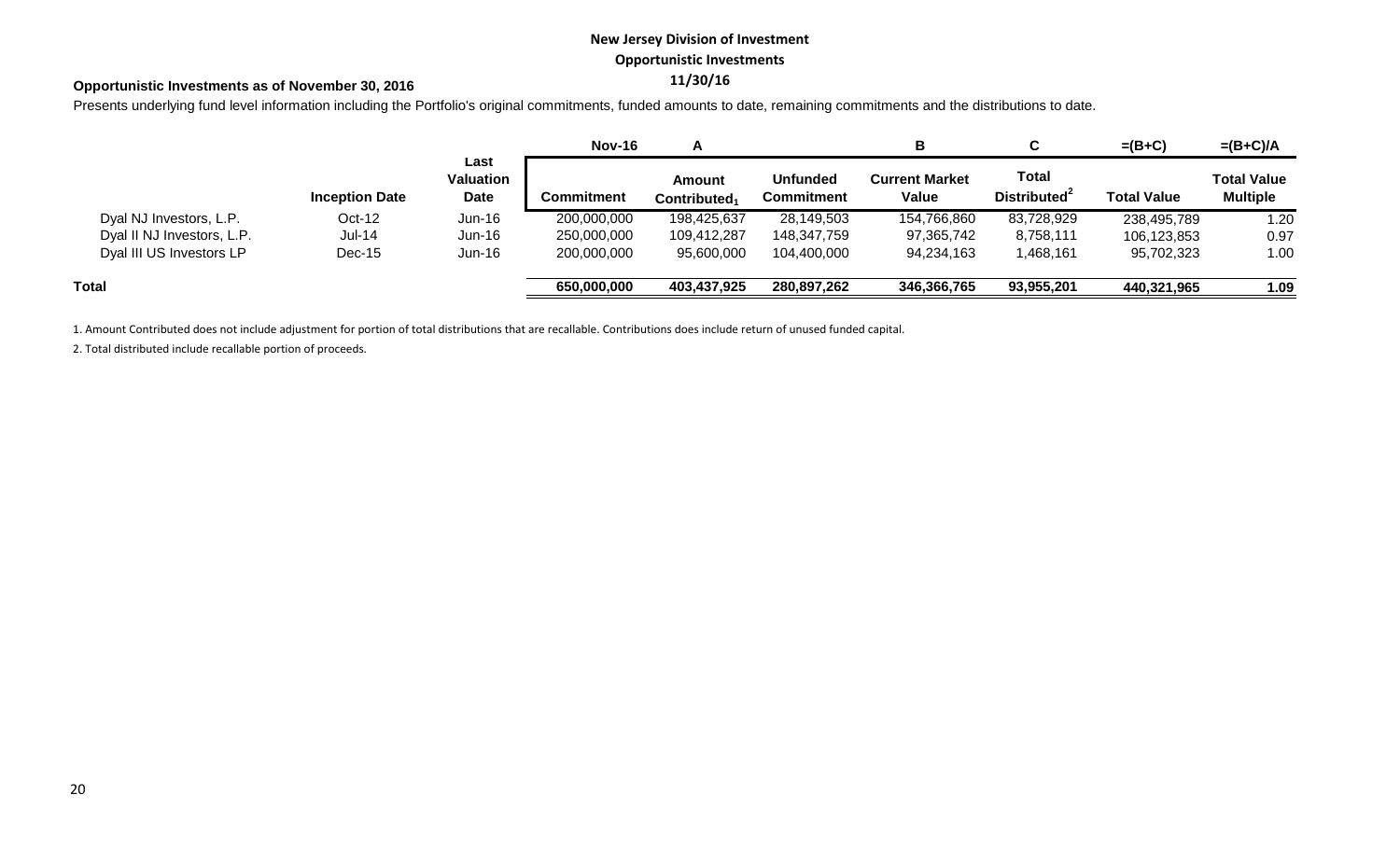# **New Jersey Division of Investment Opportunistic Investments**

# **11/30/16 Opportunistic Investments as of November 30, 2016**

Presents underlying fund level information including the Portfolio's original commitments, funded amounts to date, remaining commitments and the distributions to date.

|                            |                       |                           | <b>Nov-16</b> |                                           |                                      | в                              |                                          | $=(B+C)$           | $=(B+C)/A$                            |
|----------------------------|-----------------------|---------------------------|---------------|-------------------------------------------|--------------------------------------|--------------------------------|------------------------------------------|--------------------|---------------------------------------|
|                            | <b>Inception Date</b> | Last<br>Valuation<br>Date | Commitment    | <b>Amount</b><br>Contributed <sub>1</sub> | <b>Unfunded</b><br><b>Commitment</b> | <b>Current Market</b><br>Value | <b>Total</b><br>Distributed <sup>2</sup> | <b>Total Value</b> | <b>Total Value</b><br><b>Multiple</b> |
| Dyal NJ Investors, L.P.    | $Oct-12$              | $Jun-16$                  | 200,000,000   | 198,425,637                               | 28,149,503                           | 154,766,860                    | 83,728,929                               | 238,495,789        | 1.20                                  |
| Dyal II NJ Investors, L.P. | $Jul-14$              | $Jun-16$                  | 250,000,000   | 109,412,287                               | 148,347,759                          | 97,365,742                     | 8,758,111                                | 106,123,853        | 0.97                                  |
| Dyal III US Investors LP   | $Dec-15$              | $Jun-16$                  | 200,000,000   | 95,600,000                                | 104,400,000                          | 94,234,163                     | 1,468,161                                | 95,702,323         | 1.00                                  |
| Total                      |                       |                           | 650,000,000   | 403,437,925                               | 280,897,262                          | 346,366,765                    | 93,955,201                               | 440,321,965        | 1.09                                  |

1. Amount Contributed does not include adjustment for portion of total distributions that are recallable. Contributions does include return of unused funded capital.

2. Total distributed include recallable portion of proceeds.